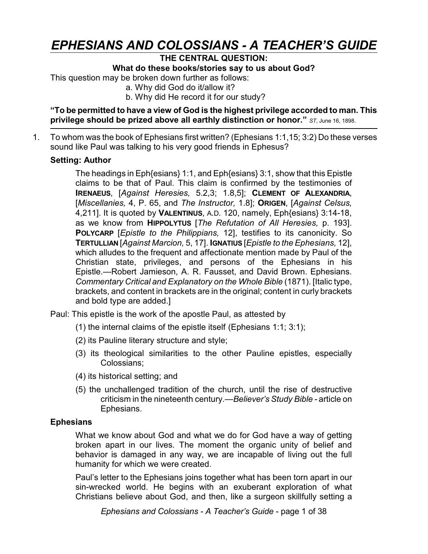# *EPHESIANS AND COLOSSIANS - A TEACHER'S GUIDE*

**THE CENTRAL QUESTION:**

**What do these books/stories say to us about God?**

This question may be broken down further as follows:

a. Why did God do it/allow it?

b. Why did He record it for our study?

**"To be permitted to have a view of God is the highest privilege accorded to man. This privilege should be prized above all earthly distinction or honor."** *ST*, June 16, 1898.

1. To whom was the book of Ephesians first written? (Ephesians 1:1,15; 3:2) Do these verses sound like Paul was talking to his very good friends in Ephesus?

## **Setting: Author**

The headings in Eph{esians} 1:1, and Eph{esians} 3:1, show that this Epistle claims to be that of Paul. This claim is confirmed by the testimonies of **IRENAEUS**, [*Against Heresies,* 5.2,3; 1.8,5]; **CLEMENT OF ALEXANDRIA**, [*Miscellanies,* 4, P. 65, and *The Instructor,* 1.8]; **ORIGEN**, [*Against Celsus,* 4,211]. It is quoted by **VALENTINUS**, A.D. 120, namely, Eph{esians} 3:14-18, as we know from **HIPPOLYTUS** [*The Refutation of All Heresies,* p. 193]. **POLYCARP** [*Epistle to the Philippians,* 12], testifies to its canonicity. So **TERTULLIAN** [*Against Marcion,* 5, 17]. **IGNATIUS** [*Epistle to the Ephesians,* 12], which alludes to the frequent and affectionate mention made by Paul of the Christian state, privileges, and persons of the Ephesians in his Epistle.—Robert Jamieson, A. R. Fausset, and David Brown. Ephesians. *Commentary Critical and Explanatory on the Whole Bible* (1871). [Italic type, brackets, and content in brackets are in the original; content in curly brackets and bold type are added.]

Paul: This epistle is the work of the apostle Paul, as attested by

- (1) the internal claims of the epistle itself (Ephesians 1:1; 3:1);
- (2) its Pauline literary structure and style;
- (3) its theological similarities to the other Pauline epistles, especially Colossians;
- (4) its historical setting; and
- (5) the unchallenged tradition of the church, until the rise of destructive criticism in the nineteenth century.—*Believer's Study Bible -* article on Ephesians.

#### **Ephesians**

What we know about God and what we do for God have a way of getting broken apart in our lives. The moment the organic unity of belief and behavior is damaged in any way, we are incapable of living out the full humanity for which we were created.

Paul's letter to the Ephesians joins together what has been torn apart in our sin-wrecked world. He begins with an exuberant exploration of what Christians believe about God, and then, like a surgeon skillfully setting a

*Ephesians and Colossians - A Teacher's Guide* - page 1 of 38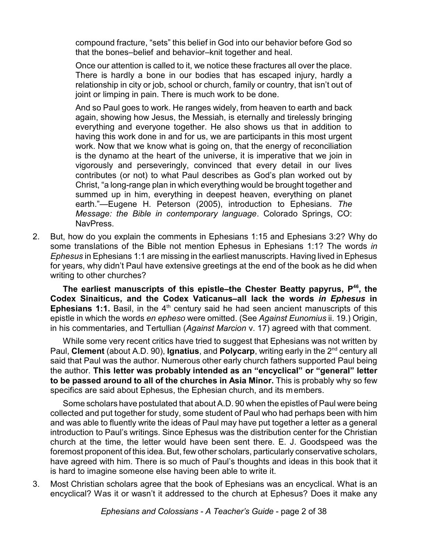compound fracture, "sets" this belief in God into our behavior before God so that the bones–belief and behavior–knit together and heal.

Once our attention is called to it, we notice these fractures all over the place. There is hardly a bone in our bodies that has escaped injury, hardly a relationship in city or job, school or church, family or country, that isn't out of joint or limping in pain. There is much work to be done.

And so Paul goes to work. He ranges widely, from heaven to earth and back again, showing how Jesus, the Messiah, is eternally and tirelessly bringing everything and everyone together. He also shows us that in addition to having this work done in and for us, we are participants in this most urgent work. Now that we know what is going on, that the energy of reconciliation is the dynamo at the heart of the universe, it is imperative that we join in vigorously and perseveringly, convinced that every detail in our lives contributes (or not) to what Paul describes as God's plan worked out by Christ, "a long-range plan in which everything would be brought together and summed up in him, everything in deepest heaven, everything on planet earth."—Eugene H. Peterson (2005), introduction to Ephesians. *The Message: the Bible in contemporary language*. Colorado Springs, CO: NavPress.

2. But, how do you explain the comments in Ephesians 1:15 and Ephesians 3:2? Why do some translations of the Bible not mention Ephesus in Ephesians 1:1? The words *in Ephesus* in Ephesians 1:1 are missing in the earliest manuscripts. Having lived in Ephesus for years, why didn't Paul have extensive greetings at the end of the book as he did when writing to other churches?

**The earliest manuscripts of this epistle–the Chester Beatty papyrus, P 46 , the Codex Sinaiticus, and the Codex Vaticanus–all lack the words** *in Ephesus* **in** Ephesians 1:1. Basil, in the 4<sup>th</sup> century said he had seen ancient manuscripts of this epistle in which the words *en epheso* were omitted. (See *Against Eunomius* ii. 19.) Origin, in his commentaries, and Tertullian (*Against Marcion* v. 17) agreed with that comment.

While some very recent critics have tried to suggest that Ephesians was not written by Paul, Clement (about A.D. 90), Ignatius, and Polycarp, writing early in the 2<sup>nd</sup> century all said that Paul was the author. Numerous other early church fathers supported Paul being the author. **This letter was probably intended as an "encyclical" or "general" letter to be passed around to all of the churches in Asia Minor.** This is probably why so few specifics are said about Ephesus, the Ephesian church, and its members.

Some scholars have postulated that about A.D. 90 when the epistles of Paul were being collected and put together for study, some student of Paul who had perhaps been with him and was able to fluently write the ideas of Paul may have put together a letter as a general introduction to Paul's writings. Since Ephesus was the distribution center for the Christian church at the time, the letter would have been sent there. E. J. Goodspeed was the foremost proponent of this idea. But, few other scholars, particularly conservative scholars, have agreed with him. There is so much of Paul's thoughts and ideas in this book that it is hard to imagine someone else having been able to write it.

3. Most Christian scholars agree that the book of Ephesians was an encyclical. What is an encyclical? Was it or wasn't it addressed to the church at Ephesus? Does it make any

*Ephesians and Colossians - A Teacher's Guide* - page 2 of 38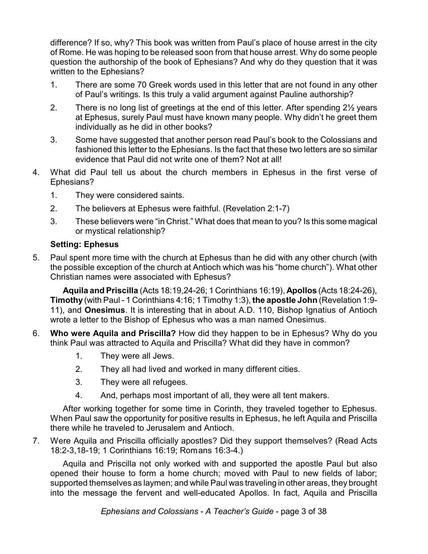difference? If so, why? This book was written from Paul's place of house arrest in the city of Rome. He was hoping to be released soon from that house arrest. Why do some people question the authorship of the book of Ephesians? And why do they question that it was written to the Ephesians?

- 1. There are some 70 Greek words used in this letter that are not found in any other of Paul's writings. Is this truly a valid argument against Pauline authorship?
- 2. There is no long list of greetings at the end of this letter. After spending 2½ years at Ephesus, surely Paul must have known many people. Why didn't he greet them individually as he did in other books?
- 3. Some have suggested that another person read Paul's book to the Colossians and fashioned this letter to the Ephesians. Is the fact that these two letters are so similar evidence that Paul did not write one of them? Not at all!
- 4. What did Paul tell us about the church members in Ephesus in the first verse of Ephesians?
	- 1. They were considered saints.
	- 2. The believers at Ephesus were faithful. (Revelation 2:1-7)
	- 3. These believers were "in Christ." What does that mean to you? Is this some magical or mystical relationship?

## **Setting: Ephesus**

5. Paul spent more time with the church at Ephesus than he did with any other church (with the possible exception of the church at Antioch which was his "home church"). What other Christian names were associated with Ephesus?

**Aquila and Priscilla** (Acts 18:19,24-26; 1 Corinthians 16:19), **Apollos** (Acts 18:24-26), **Timothy** (with Paul - 1 Corinthians 4:16; 1 Timothy 1:3), **the apostle John** (Revelation 1:9- 11), and **Onesimus**. It is interesting that in about A.D. 110, Bishop Ignatius of Antioch wrote a letter to the Bishop of Ephesus who was a man named Onesimus.

- 6. **Who were Aquila and Priscilla?** How did they happen to be in Ephesus? Why do you think Paul was attracted to Aquila and Priscilla? What did they have in common?
	- 1. They were all Jews.
	- 2. They all had lived and worked in many different cities.
	- 3. They were all refugees.
	- 4. And, perhaps most important of all, they were all tent makers.

After working together for some time in Corinth, they traveled together to Ephesus. When Paul saw the opportunity for positive results in Ephesus, he left Aquila and Priscilla there while he traveled to Jerusalem and Antioch.

7. Were Aquila and Priscilla officially apostles? Did they support themselves? (Read Acts 18:2-3,18-19; 1 Corinthians 16:19; Romans 16:3-4.)

Aquila and Priscilla not only worked with and supported the apostle Paul but also opened their house to form a home church; moved with Paul to new fields of labor; supported themselves as laymen; and while Paul was traveling in other areas, they brought into the message the fervent and well-educated Apollos. In fact, Aquila and Priscilla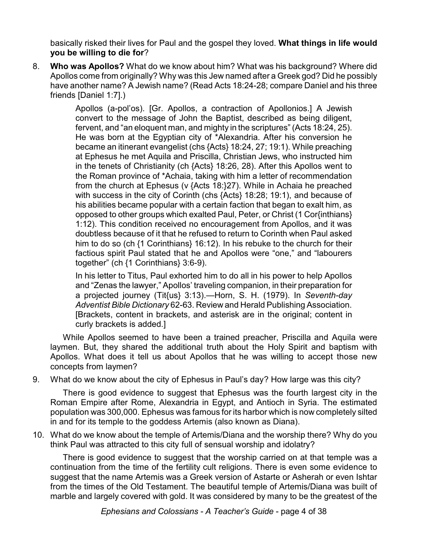basically risked their lives for Paul and the gospel they loved. **What things in life would you be willing to die for**?

8. **Who was Apollos?** What do we know about him? What was his background? Where did Apollos come from originally? Why was this Jew named after a Greek god? Did he possibly have another name? A Jewish name? (Read Acts 18:24-28; compare Daniel and his three friends [Daniel 1:7].)

> Apollos (a-pol'os). [Gr. Apollos, a contraction of Apollonios.] A Jewish convert to the message of John the Baptist, described as being diligent, fervent, and "an eloquent man, and mighty in the scriptures" (Acts 18:24, 25). He was born at the Egyptian city of \*Alexandria. After his conversion he became an itinerant evangelist (chs {Acts} 18:24, 27; 19:1). While preaching at Ephesus he met Aquila and Priscilla, Christian Jews, who instructed him in the tenets of Christianity (ch {Acts} 18:26, 28). After this Apollos went to the Roman province of \*Achaia, taking with him a letter of recommendation from the church at Ephesus (v {Acts 18:}27). While in Achaia he preached with success in the city of Corinth (chs {Acts} 18:28; 19:1), and because of his abilities became popular with a certain faction that began to exalt him, as opposed to other groups which exalted Paul, Peter, or Christ (1 Cor{inthians} 1:12). This condition received no encouragement from Apollos, and it was doubtless because of it that he refused to return to Corinth when Paul asked him to do so (ch {1 Corinthians} 16:12). In his rebuke to the church for their factious spirit Paul stated that he and Apollos were "one," and "labourers together" (ch {1 Corinthians} 3:6-9).

> In his letter to Titus, Paul exhorted him to do all in his power to help Apollos and "Zenas the lawyer," Apollos' traveling companion, in their preparation for a projected journey (Tit{us} 3:13).—Horn, S. H. (1979). In *Seventh-day Adventist Bible Dictionary* 62-63. Review and Herald Publishing Association. [Brackets, content in brackets, and asterisk are in the original; content in curly brackets is added.]

While Apollos seemed to have been a trained preacher, Priscilla and Aquila were laymen. But, they shared the additional truth about the Holy Spirit and baptism with Apollos. What does it tell us about Apollos that he was willing to accept those new concepts from laymen?

9. What do we know about the city of Ephesus in Paul's day? How large was this city?

There is good evidence to suggest that Ephesus was the fourth largest city in the Roman Empire after Rome, Alexandria in Egypt, and Antioch in Syria. The estimated population was 300,000. Ephesus was famous for its harbor which is now completely silted in and for its temple to the goddess Artemis (also known as Diana).

10. What do we know about the temple of Artemis/Diana and the worship there? Why do you think Paul was attracted to this city full of sensual worship and idolatry?

There is good evidence to suggest that the worship carried on at that temple was a continuation from the time of the fertility cult religions. There is even some evidence to suggest that the name Artemis was a Greek version of Astarte or Asherah or even Ishtar from the times of the Old Testament. The beautiful temple of Artemis/Diana was built of marble and largely covered with gold. It was considered by many to be the greatest of the

*Ephesians and Colossians - A Teacher's Guide* - page 4 of 38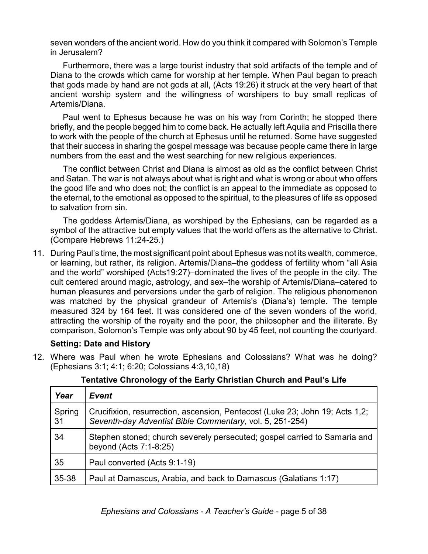seven wonders of the ancient world. How do you think it compared with Solomon's Temple in Jerusalem?

Furthermore, there was a large tourist industry that sold artifacts of the temple and of Diana to the crowds which came for worship at her temple. When Paul began to preach that gods made by hand are not gods at all, (Acts 19:26) it struck at the very heart of that ancient worship system and the willingness of worshipers to buy small replicas of Artemis/Diana.

Paul went to Ephesus because he was on his way from Corinth; he stopped there briefly, and the people begged him to come back. He actually left Aquila and Priscilla there to work with the people of the church at Ephesus until he returned. Some have suggested that their success in sharing the gospel message was because people came there in large numbers from the east and the west searching for new religious experiences.

The conflict between Christ and Diana is almost as old as the conflict between Christ and Satan. The war is not always about what is right and what is wrong or about who offers the good life and who does not; the conflict is an appeal to the immediate as opposed to the eternal, to the emotional as opposed to the spiritual, to the pleasures of life as opposed to salvation from sin.

The goddess Artemis/Diana, as worshiped by the Ephesians, can be regarded as a symbol of the attractive but empty values that the world offers as the alternative to Christ. (Compare Hebrews 11:24-25.)

11. DuringPaul's time, the most significant point about Ephesus was not its wealth, commerce, or learning, but rather, its religion. Artemis/Diana–the goddess of fertility whom "all Asia and the world" worshiped (Acts19:27)–dominated the lives of the people in the city. The cult centered around magic, astrology, and sex–the worship of Artemis/Diana–catered to human pleasures and perversions under the garb of religion. The religious phenomenon was matched by the physical grandeur of Artemis's (Diana's) temple. The temple measured 324 by 164 feet. It was considered one of the seven wonders of the world, attracting the worship of the royalty and the poor, the philosopher and the illiterate. By comparison, Solomon's Temple was only about 90 by 45 feet, not counting the courtyard.

## **Setting: Date and History**

12. Where was Paul when he wrote Ephesians and Colossians? What was he doing? (Ephesians 3:1; 4:1; 6:20; Colossians 4:3,10,18)

| Year          | Event                                                                                                                                    |
|---------------|------------------------------------------------------------------------------------------------------------------------------------------|
| Spring<br>-31 | Crucifixion, resurrection, ascension, Pentecost (Luke 23; John 19; Acts 1,2;<br>Seventh-day Adventist Bible Commentary, vol. 5, 251-254) |
| 34            | Stephen stoned; church severely persecuted; gospel carried to Samaria and<br>beyond (Acts 7:1-8:25)                                      |
| 35            | Paul converted (Acts 9:1-19)                                                                                                             |
| 35-38         | Paul at Damascus, Arabia, and back to Damascus (Galatians 1:17)                                                                          |

## **Tentative Chronology of the Early Christian Church and Paul's Life**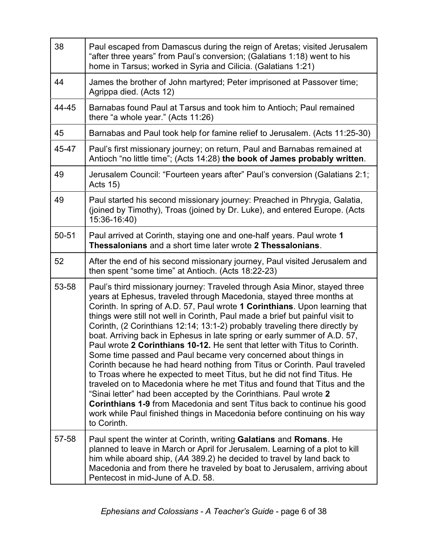| 38    | Paul escaped from Damascus during the reign of Aretas; visited Jerusalem<br>"after three years" from Paul's conversion; (Galatians 1:18) went to his<br>home in Tarsus; worked in Syria and Cilicia. (Galatians 1:21)                                                                                                                                                                                                                                                                                                                                                                                                                                                                                                                                                                                                                                                                                                                                                                                                                                                                                                  |
|-------|------------------------------------------------------------------------------------------------------------------------------------------------------------------------------------------------------------------------------------------------------------------------------------------------------------------------------------------------------------------------------------------------------------------------------------------------------------------------------------------------------------------------------------------------------------------------------------------------------------------------------------------------------------------------------------------------------------------------------------------------------------------------------------------------------------------------------------------------------------------------------------------------------------------------------------------------------------------------------------------------------------------------------------------------------------------------------------------------------------------------|
| 44    | James the brother of John martyred; Peter imprisoned at Passover time;<br>Agrippa died. (Acts 12)                                                                                                                                                                                                                                                                                                                                                                                                                                                                                                                                                                                                                                                                                                                                                                                                                                                                                                                                                                                                                      |
| 44-45 | Barnabas found Paul at Tarsus and took him to Antioch; Paul remained<br>there "a whole year." (Acts 11:26)                                                                                                                                                                                                                                                                                                                                                                                                                                                                                                                                                                                                                                                                                                                                                                                                                                                                                                                                                                                                             |
| 45    | Barnabas and Paul took help for famine relief to Jerusalem. (Acts 11:25-30)                                                                                                                                                                                                                                                                                                                                                                                                                                                                                                                                                                                                                                                                                                                                                                                                                                                                                                                                                                                                                                            |
| 45-47 | Paul's first missionary journey; on return, Paul and Barnabas remained at<br>Antioch "no little time"; (Acts 14:28) the book of James probably written.                                                                                                                                                                                                                                                                                                                                                                                                                                                                                                                                                                                                                                                                                                                                                                                                                                                                                                                                                                |
| 49    | Jerusalem Council: "Fourteen years after" Paul's conversion (Galatians 2:1;<br><b>Acts 15)</b>                                                                                                                                                                                                                                                                                                                                                                                                                                                                                                                                                                                                                                                                                                                                                                                                                                                                                                                                                                                                                         |
| 49    | Paul started his second missionary journey: Preached in Phrygia, Galatia,<br>(joined by Timothy), Troas (joined by Dr. Luke), and entered Europe. (Acts<br>15:36-16:40)                                                                                                                                                                                                                                                                                                                                                                                                                                                                                                                                                                                                                                                                                                                                                                                                                                                                                                                                                |
| 50-51 | Paul arrived at Corinth, staying one and one-half years. Paul wrote 1<br>Thessalonians and a short time later wrote 2 Thessalonians.                                                                                                                                                                                                                                                                                                                                                                                                                                                                                                                                                                                                                                                                                                                                                                                                                                                                                                                                                                                   |
| 52    | After the end of his second missionary journey, Paul visited Jerusalem and<br>then spent "some time" at Antioch. (Acts 18:22-23)                                                                                                                                                                                                                                                                                                                                                                                                                                                                                                                                                                                                                                                                                                                                                                                                                                                                                                                                                                                       |
| 53-58 | Paul's third missionary journey: Traveled through Asia Minor, stayed three<br>years at Ephesus, traveled through Macedonia, stayed three months at<br>Corinth. In spring of A.D. 57, Paul wrote 1 Corinthians. Upon learning that<br>things were still not well in Corinth, Paul made a brief but painful visit to<br>Corinth, (2 Corinthians 12:14; 13:1-2) probably traveling there directly by<br>boat. Arriving back in Ephesus in late spring or early summer of A.D. 57,<br>Paul wrote 2 Corinthians 10-12. He sent that letter with Titus to Corinth.<br>Some time passed and Paul became very concerned about things in<br>Corinth because he had heard nothing from Titus or Corinth. Paul traveled<br>to Troas where he expected to meet Titus, but he did not find Titus. He<br>traveled on to Macedonia where he met Titus and found that Titus and the<br>"Sinai letter" had been accepted by the Corinthians. Paul wrote 2<br><b>Corinthians 1-9</b> from Macedonia and sent Titus back to continue his good<br>work while Paul finished things in Macedonia before continuing on his way<br>to Corinth. |
| 57-58 | Paul spent the winter at Corinth, writing Galatians and Romans. He<br>planned to leave in March or April for Jerusalem. Learning of a plot to kill<br>him while aboard ship, (AA 389.2) he decided to travel by land back to<br>Macedonia and from there he traveled by boat to Jerusalem, arriving about<br>Pentecost in mid-June of A.D. 58.                                                                                                                                                                                                                                                                                                                                                                                                                                                                                                                                                                                                                                                                                                                                                                         |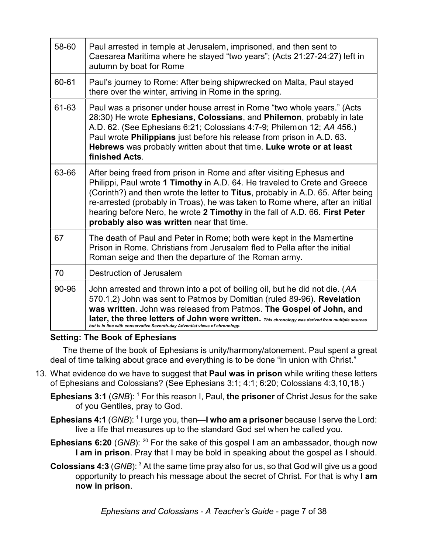| 58-60 | Paul arrested in temple at Jerusalem, imprisoned, and then sent to<br>Caesarea Maritima where he stayed "two years"; (Acts 21:27-24:27) left in<br>autumn by boat for Rome                                                                                                                                                                                                                                                                         |
|-------|----------------------------------------------------------------------------------------------------------------------------------------------------------------------------------------------------------------------------------------------------------------------------------------------------------------------------------------------------------------------------------------------------------------------------------------------------|
| 60-61 | Paul's journey to Rome: After being shipwrecked on Malta, Paul stayed<br>there over the winter, arriving in Rome in the spring.                                                                                                                                                                                                                                                                                                                    |
| 61-63 | Paul was a prisoner under house arrest in Rome "two whole years." (Acts<br>28:30) He wrote Ephesians, Colossians, and Philemon, probably in late<br>A.D. 62. (See Ephesians 6:21; Colossians 4:7-9; Philemon 12; AA 456.)<br>Paul wrote <b>Philippians</b> just before his release from prison in A.D. 63.<br>Hebrews was probably written about that time. Luke wrote or at least<br>finished Acts.                                               |
| 63-66 | After being freed from prison in Rome and after visiting Ephesus and<br>Philippi, Paul wrote 1 Timothy in A.D. 64. He traveled to Crete and Greece<br>(Corinth?) and then wrote the letter to Titus, probably in A.D. 65. After being<br>re-arrested (probably in Troas), he was taken to Rome where, after an initial<br>hearing before Nero, he wrote 2 Timothy in the fall of A.D. 66. First Peter<br>probably also was written near that time. |
| 67    | The death of Paul and Peter in Rome; both were kept in the Mamertine<br>Prison in Rome. Christians from Jerusalem fled to Pella after the initial<br>Roman seige and then the departure of the Roman army.                                                                                                                                                                                                                                         |
| 70    | Destruction of Jerusalem                                                                                                                                                                                                                                                                                                                                                                                                                           |
| 90-96 | John arrested and thrown into a pot of boiling oil, but he did not die. (AA<br>570.1,2) John was sent to Patmos by Domitian (ruled 89-96). Revelation<br>was written. John was released from Patmos. The Gospel of John, and<br>later, the three letters of John were written. This chronology was derived from multiple sources<br>but is in line with conservative Seventh-day Adventist views of chronology.                                    |

## **Setting: The Book of Ephesians**

The theme of the book of Ephesians is unity/harmony/atonement. Paul spent a great deal of time talking about grace and everything is to be done "in union with Christ."

- 13. What evidence do we have to suggest that **Paul was in prison** while writing these letters of Ephesians and Colossians? (See Ephesians 3:1; 4:1; 6:20; Colossians 4:3,10,18.)
	- **Ephesians 3:1** (*GNB*): <sup>1</sup> For this reason I, Paul, **the prisoner** of Christ Jesus for the sake of you Gentiles, pray to God.
	- **Ephesians 4:1** (GNB): <sup>1</sup> I urge you, then—**I who am a prisoner** because I serve the Lord: live a life that measures up to the standard God set when he called you.
	- **Ephesians 6:20** (*GNB*): <sup>20</sup> For the sake of this gospel I am an ambassador, though now **I am in prison**. Pray that I may be bold in speaking about the gospel as I should.
	- **Colossians 4:3** (*GNB*): <sup>3</sup> At the same time pray also for us, so that God will give us a good opportunity to preach his message about the secret of Christ. For that is why **I am now in prison**.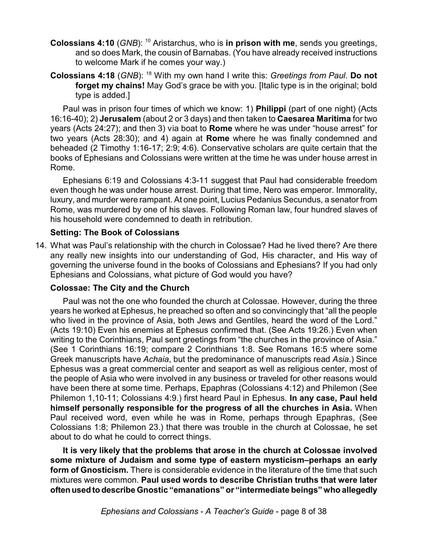- **Colossians 4:10** (GNB): <sup>10</sup> Aristarchus, who is in prison with me, sends you greetings, and so does Mark, the cousin of Barnabas. (You have already received instructions to welcome Mark if he comes your way.)
- **Colossians 4:18** (*GNB*): <sup>18</sup> With my own hand I write this: *Greetings from Paul*. **Do not forget my chains!** May God's grace be with you. [Italic type is in the original; bold type is added.]

Paul was in prison four times of which we know: 1) **Philippi** (part of one night) (Acts 16:16-40); 2) **Jerusalem** (about 2 or 3 days) and then taken to **Caesarea Maritima** for two years (Acts 24:27); and then 3) via boat to **Rome** where he was under "house arrest" for two years (Acts 28:30); and 4) again at **Rome** where he was finally condemned and beheaded (2 Timothy 1:16-17; 2:9; 4:6). Conservative scholars are quite certain that the books of Ephesians and Colossians were written at the time he was under house arrest in Rome.

Ephesians 6:19 and Colossians 4:3-11 suggest that Paul had considerable freedom even though he was under house arrest. During that time, Nero was emperor. Immorality, luxury, and murder were rampant. At one point, Lucius Pedanius Secundus, a senator from Rome, was murdered by one of his slaves. Following Roman law, four hundred slaves of his household were condemned to death in retribution.

## **Setting: The Book of Colossians**

14. What was Paul's relationship with the church in Colossae? Had he lived there? Are there any really new insights into our understanding of God, His character, and His way of governing the universe found in the books of Colossians and Ephesians? If you had only Ephesians and Colossians, what picture of God would you have?

## **Colossae: The City and the Church**

Paul was not the one who founded the church at Colossae. However, during the three years he worked at Ephesus, he preached so often and so convincingly that "all the people who lived in the province of Asia, both Jews and Gentiles, heard the word of the Lord." (Acts 19:10) Even his enemies at Ephesus confirmed that. (See Acts 19:26.) Even when writing to the Corinthians, Paul sent greetings from "the churches in the province of Asia." (See 1 Corinthians 16:19; compare 2 Corinthians 1:8. See Romans 16:5 where some Greek manuscripts have *Achaia*, but the predominance of manuscripts read *Asia*.) Since Ephesus was a great commercial center and seaport as well as religious center, most of the people of Asia who were involved in any business or traveled for other reasons would have been there at some time. Perhaps, Epaphras (Colossians 4:12) and Philemon (See Philemon 1,10-11; Colossians 4:9.) first heard Paul in Ephesus. **In any case, Paul held himself personally responsible for the progress of all the churches in Asia.** When Paul received word, even while he was in Rome, perhaps through Epaphras, (See Colossians 1:8; Philemon 23.) that there was trouble in the church at Colossae, he set about to do what he could to correct things.

**It is very likely that the problems that arose in the church at Colossae involved some mixture of Judaism and some type of eastern mysticism–perhaps an early form of Gnosticism.** There is considerable evidence in the literature of the time that such mixtures were common. **Paul used words to describe Christian truths that were later oftenusedtodescribe Gnostic "emanations" or "intermediate beings" who allegedly**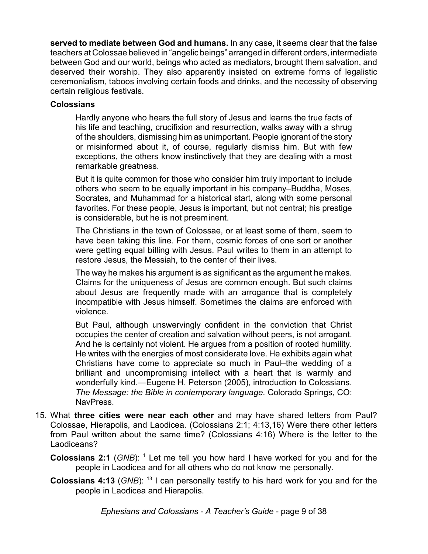**served to mediate between God and humans.** In any case, it seems clear that the false teachers at Colossae believed in "angelic beings" arranged in different orders, intermediate between God and our world, beings who acted as mediators, brought them salvation, and deserved their worship. They also apparently insisted on extreme forms of legalistic ceremonialism, taboos involving certain foods and drinks, and the necessity of observing certain religious festivals.

## **Colossians**

Hardly anyone who hears the full story of Jesus and learns the true facts of his life and teaching, crucifixion and resurrection, walks away with a shrug of the shoulders, dismissing him as unimportant. People ignorant of the story or misinformed about it, of course, regularly dismiss him. But with few exceptions, the others know instinctively that they are dealing with a most remarkable greatness.

But it is quite common for those who consider him truly important to include others who seem to be equally important in his company–Buddha, Moses, Socrates, and Muhammad for a historical start, along with some personal favorites. For these people, Jesus is important, but not central; his prestige is considerable, but he is not preeminent.

The Christians in the town of Colossae, or at least some of them, seem to have been taking this line. For them, cosmic forces of one sort or another were getting equal billing with Jesus. Paul writes to them in an attempt to restore Jesus, the Messiah, to the center of their lives.

The way he makes his argument is as significant as the argument he makes. Claims for the uniqueness of Jesus are common enough. But such claims about Jesus are frequently made with an arrogance that is completely incompatible with Jesus himself. Sometimes the claims are enforced with violence.

But Paul, although unswervingly confident in the conviction that Christ occupies the center of creation and salvation without peers, is not arrogant. And he is certainly not violent. He argues from a position of rooted humility. He writes with the energies of most considerate love. He exhibits again what Christians have come to appreciate so much in Paul–the wedding of a brilliant and uncompromising intellect with a heart that is warmly and wonderfully kind.—Eugene H. Peterson (2005), introduction to Colossians. *The Message: the Bible in contemporary language.* Colorado Springs, CO: NavPress.

15. What **three cities were near each other** and may have shared letters from Paul? Colossae, Hierapolis, and Laodicea. (Colossians 2:1; 4:13,16) Were there other letters from Paul written about the same time? (Colossians 4:16) Where is the letter to the Laodiceans?

**Colossians 2:1** (*GNB*): <sup>1</sup> Let me tell you how hard I have worked for you and for the people in Laodicea and for all others who do not know me personally.

**Colossians 4:13** (GNB): <sup>13</sup> I can personally testify to his hard work for you and for the people in Laodicea and Hierapolis.

*Ephesians and Colossians - A Teacher's Guide* - page 9 of 38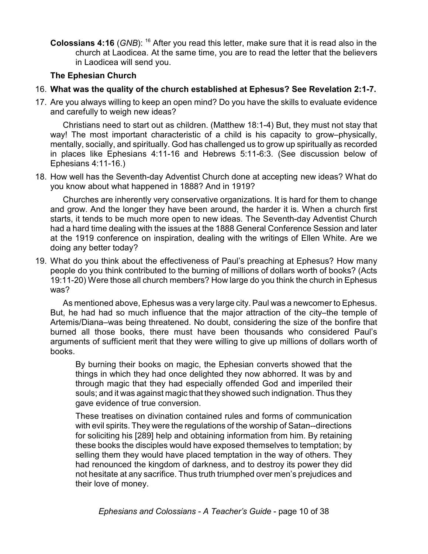Colossians 4:16 (GNB): <sup>16</sup> After you read this letter, make sure that it is read also in the church at Laodicea. At the same time, you are to read the letter that the believers in Laodicea will send you.

## **The Ephesian Church**

## 16. **What was the quality of the church established at Ephesus? See Revelation 2:1-7.**

17. Are you always willing to keep an open mind? Do you have the skills to evaluate evidence and carefully to weigh new ideas?

Christians need to start out as children. (Matthew 18:1-4) But, they must not stay that way! The most important characteristic of a child is his capacity to grow–physically, mentally, socially, and spiritually. God has challenged us to grow up spiritually as recorded in places like Ephesians 4:11-16 and Hebrews 5:11-6:3. (See discussion below of Ephesians 4:11-16.)

18. How well has the Seventh-day Adventist Church done at accepting new ideas? What do you know about what happened in 1888? And in 1919?

Churches are inherently very conservative organizations. It is hard for them to change and grow. And the longer they have been around, the harder it is. When a church first starts, it tends to be much more open to new ideas. The Seventh-day Adventist Church had a hard time dealing with the issues at the 1888 General Conference Session and later at the 1919 conference on inspiration, dealing with the writings of Ellen White. Are we doing any better today?

19. What do you think about the effectiveness of Paul's preaching at Ephesus? How many people do you think contributed to the burning of millions of dollars worth of books? (Acts 19:11-20) Were those all church members? How large do you think the church in Ephesus was?

As mentioned above, Ephesus was a very large city. Paul was a newcomer to Ephesus. But, he had had so much influence that the major attraction of the city–the temple of Artemis/Diana–was being threatened. No doubt, considering the size of the bonfire that burned all those books, there must have been thousands who considered Paul's arguments of sufficient merit that they were willing to give up millions of dollars worth of books.

By burning their books on magic, the Ephesian converts showed that the things in which they had once delighted they now abhorred. It was by and through magic that they had especially offended God and imperiled their souls; and it was against magic that they showed such indignation. Thus they gave evidence of true conversion.

These treatises on divination contained rules and forms of communication with evil spirits. They were the regulations of the worship of Satan--directions for soliciting his [289] help and obtaining information from him. By retaining these books the disciples would have exposed themselves to temptation; by selling them they would have placed temptation in the way of others. They had renounced the kingdom of darkness, and to destroy its power they did not hesitate at any sacrifice. Thus truth triumphed over men's prejudices and their love of money.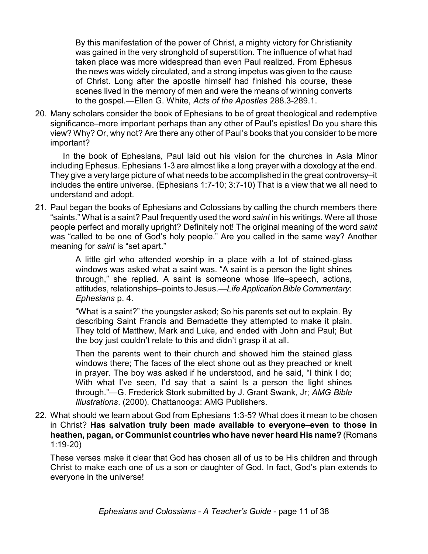By this manifestation of the power of Christ, a mighty victory for Christianity was gained in the very stronghold of superstition. The influence of what had taken place was more widespread than even Paul realized. From Ephesus the news was widely circulated, and a strong impetus was given to the cause of Christ. Long after the apostle himself had finished his course, these scenes lived in the memory of men and were the means of winning converts to the gospel.—Ellen G. White, *Acts of the Apostles* 288.3-289.1.

20. Many scholars consider the book of Ephesians to be of great theological and redemptive significance–more important perhaps than any other of Paul's epistles! Do you share this view? Why? Or, why not? Are there any other of Paul's books that you consider to be more important?

In the book of Ephesians, Paul laid out his vision for the churches in Asia Minor including Ephesus. Ephesians 1-3 are almost like a long prayer with a doxology at the end. They give a very large picture of what needs to be accomplished in the great controversy–it includes the entire universe. (Ephesians 1:7-10; 3:7-10) That is a view that we all need to understand and adopt.

21. Paul began the books of Ephesians and Colossians by calling the church members there "saints." What is a saint? Paul frequently used the word *saint* in his writings. Were all those people perfect and morally upright? Definitely not! The original meaning of the word *saint* was "called to be one of God's holy people." Are you called in the same way? Another meaning for *saint* is "set apart."

> A little girl who attended worship in a place with a lot of stained-glass windows was asked what a saint was. "A saint is a person the light shines through," she replied. A saint is someone whose life–speech, actions, attitudes, relationships–points to Jesus.—*LifeApplicationBible Commentary*: *Ephesians* p. 4.

> "What is a saint?" the youngster asked; So his parents set out to explain. By describing Saint Francis and Bernadette they attempted to make it plain. They told of Matthew, Mark and Luke, and ended with John and Paul; But the boy just couldn't relate to this and didn't grasp it at all.

> Then the parents went to their church and showed him the stained glass windows there; The faces of the elect shone out as they preached or knelt in prayer. The boy was asked if he understood, and he said, "I think I do; With what I've seen, I'd say that a saint Is a person the light shines through."—G. Frederick Stork submitted by J. Grant Swank, Jr; *AMG Bible Illustrations*. (2000). Chattanooga: AMG Publishers.

22. What should we learn about God from Ephesians 1:3-5? What does it mean to be chosen in Christ? **Has salvation truly been made available to everyone–even to those in heathen, pagan, or Communist countries who have never heard His name?** (Romans 1:19-20)

These verses make it clear that God has chosen all of us to be His children and through Christ to make each one of us a son or daughter of God. In fact, God's plan extends to everyone in the universe!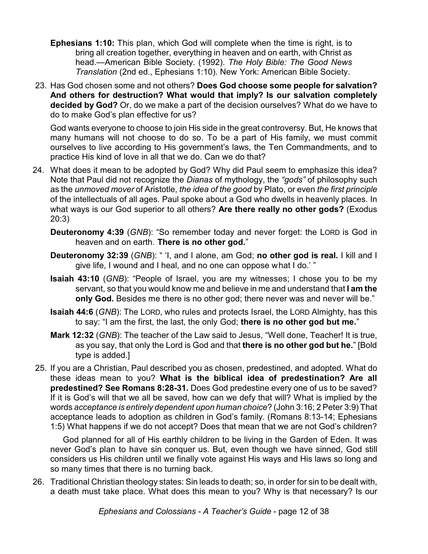- **Ephesians 1:10:** This plan, which God will complete when the time is right, is to bring all creation together, everything in heaven and on earth, with Christ as head.—American Bible Society. (1992). *The Holy Bible: The Good News Translation* (2nd ed., Ephesians 1:10). New York: American Bible Society.
- 23. Has God chosen some and not others? **Does God choose some people for salvation? And others for destruction? What would that imply? Is our salvation completely decided by God?** Or, do we make a part of the decision ourselves? What do we have to do to make God's plan effective for us?

God wants everyone to choose to join His side in the great controversy. But, He knows that many humans will not choose to do so. To be a part of His family, we must commit ourselves to live according to His government's laws, the Ten Commandments, and to practice His kind of love in all that we do. Can we do that?

- 24. What does it mean to be adopted by God? Why did Paul seem to emphasize this idea? Note that Paul did not recognize the *Dianas* of mythology, the *"gods"* of philosophy such as the *unmoved mover* of Aristotle, *the idea of the good* by Plato, or even *the first principle* of the intellectuals of all ages. Paul spoke about a God who dwells in heavenly places. In what ways is our God superior to all others? **Are there really no other gods?** (Exodus 20:3)
	- **Deuteronomy 4:39** (*GNB*): "So remember today and never forget: the LORD is God in heaven and on earth. **There is no other god.**"
	- **Deuteronomy 32:39** (*GNB*): " 'I, and I alone, am God; **no other god is real.** I kill and I give life, I wound and I heal, and no one can oppose what I do.' "
	- **Isaiah 43:10** (*GNB*): "People of Israel, you are my witnesses; I chose you to be my servant, so that you would know me and believe in me and understand that **I am the only God.** Besides me there is no other god; there never was and never will be."
	- **Isaiah 44:6** (*GNB*): The LORD, who rules and protects Israel, the LORD Almighty, has this to say: "I am the first, the last, the only God; **there is no other god but me.**"
	- **Mark 12:32** (*GNB*): The teacher of the Law said to Jesus, "Well done, Teacher! It is true, as you say, that only the Lord is God and that **there is no other god but he.**" [Bold type is added.]
- 25. If you are a Christian, Paul described you as chosen, predestined, and adopted. What do these ideas mean to you? **What is the biblical idea of predestination? Are all predestined? See Romans 8:28-31.** Does God predestine every one of us to be saved? If it is God's will that we all be saved, how can we defy that will? What is implied by the words *acceptance is entirely dependent upon human choice*? (John 3:16; 2 Peter 3:9) That acceptance leads to adoption as children in God's family. (Romans 8:13-14; Ephesians 1:5) What happens if we do not accept? Does that mean that we are not God's children?

God planned for all of His earthly children to be living in the Garden of Eden. It was never God's plan to have sin conquer us. But, even though we have sinned, God still considers us His children until we finally vote against His ways and His laws so long and so many times that there is no turning back.

26. Traditional Christian theology states: Sin leads to death; so, in order for sin to be dealt with, a death must take place. What does this mean to you? Why is that necessary? Is our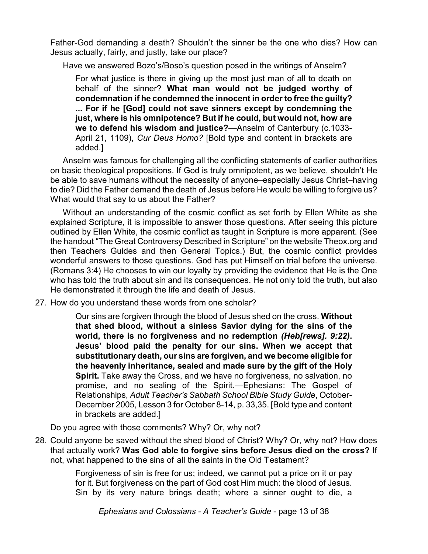Father-God demanding a death? Shouldn't the sinner be the one who dies? How can Jesus actually, fairly, and justly, take our place?

Have we answered Bozo's/Boso's question posed in the writings of Anselm?

For what justice is there in giving up the most just man of all to death on behalf of the sinner? **What man would not be judged worthy of condemnation if he condemned the innocent in order to free the guilty? ... For if he [God] could not save sinners except by condemning the just, where is his omnipotence? But if he could, but would not, how are we to defend his wisdom and justice?***—*Anselm of Canterbury (c.1033- April 21, 1109), *Cur Deus Homo?* [Bold type and content in brackets are added.]

Anselm was famous for challenging all the conflicting statements of earlier authorities on basic theological propositions. If God is truly omnipotent, as we believe, shouldn't He be able to save humans without the necessity of anyone–especially Jesus Christ–having to die? Did the Father demand the death of Jesus before He would be willing to forgive us? What would that say to us about the Father?

Without an understanding of the cosmic conflict as set forth by Ellen White as she explained Scripture, it is impossible to answer those questions. After seeing this picture outlined by Ellen White, the cosmic conflict as taught in Scripture is more apparent. (See the handout "The Great Controversy Described in Scripture" on the website Theox.org and then Teachers Guides and then General Topics.) But, the cosmic conflict provides wonderful answers to those questions. God has put Himself on trial before the universe. (Romans 3:4) He chooses to win our loyalty by providing the evidence that He is the One who has told the truth about sin and its consequences. He not only told the truth, but also He demonstrated it through the life and death of Jesus.

27. How do you understand these words from one scholar?

Our sins are forgiven through the blood of Jesus shed on the cross. **Without that shed blood, without a sinless Savior dying for the sins of the world, there is no forgiveness and no redemption** *(Heb[rews]. 9:22)***. Jesus' blood paid the penalty for our sins. When we accept that substitutionary death, our sins are forgiven, and we become eligible for the heavenly inheritance, sealed and made sure by the gift of the Holy Spirit.** Take away the Cross, and we have no forgiveness, no salvation, no promise, and no sealing of the Spirit.—Ephesians: The Gospel of Relationships, *Adult Teacher's Sabbath School Bible Study Guide*, October-December 2005, Lesson 3 for October 8-14, p. 33,35. [Bold type and content in brackets are added.]

Do you agree with those comments? Why? Or, why not?

28. Could anyone be saved without the shed blood of Christ? Why? Or, why not? How does that actually work? **Was God able to forgive sins before Jesus died on the cross?** If not, what happened to the sins of all the saints in the Old Testament?

> Forgiveness of sin is free for us; indeed, we cannot put a price on it or pay for it. But forgiveness on the part of God cost Him much: the blood of Jesus. Sin by its very nature brings death; where a sinner ought to die, a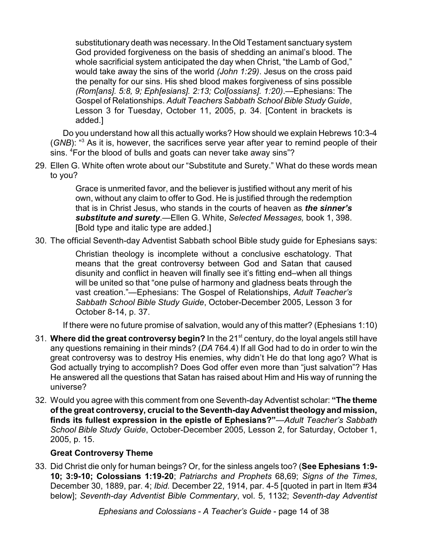substitutionary death was necessary. In the Old Testament sanctuary system God provided forgiveness on the basis of shedding an animal's blood. The whole sacrificial system anticipated the day when Christ, "the Lamb of God," would take away the sins of the world *(John 1:29)*. Jesus on the cross paid the penalty for our sins. His shed blood makes forgiveness of sins possible *(Rom[ans]. 5:8, 9; Eph[esians]. 2:13; Col[ossians]. 1:20)*.—Ephesians: The Gospel of Relationships. *Adult Teachers Sabbath School Bible Study Guide*, Lesson 3 for Tuesday, October 11, 2005, p. 34. [Content in brackets is added.]

Do you understand how all this actually works? How should we explain Hebrews 10:3-4 (GNB): "<sup>3</sup> As it is, however, the sacrifices serve year after year to remind people of their sins. <sup>4</sup>For the blood of bulls and goats can never take away sins"?

29. Ellen G. White often wrote about our "Substitute and Surety." What do these words mean to you?

> Grace is unmerited favor, and the believer is justified without any merit of his own, without any claim to offer to God. He is justified through the redemption that is in Christ Jesus, who stands in the courts of heaven as *the sinner's substitute and surety*.—Ellen G. White, *Selected Messages,* book 1, 398. [Bold type and italic type are added.]

30. The official Seventh-day Adventist Sabbath school Bible study guide for Ephesians says:

Christian theology is incomplete without a conclusive eschatology. That means that the great controversy between God and Satan that caused disunity and conflict in heaven will finally see it's fitting end–when all things will be united so that "one pulse of harmony and gladness beats through the vast creation."—Ephesians: The Gospel of Relationships, *Adult Teacher's Sabbath School Bible Study Guide*, October-December 2005, Lesson 3 for October 8-14, p. 37.

If there were no future promise of salvation, would any of this matter? (Ephesians 1:10)

- 31. Where did the great controversy begin? In the 21<sup>st</sup> century, do the loyal angels still have any questions remaining in their minds? (*DA* 764.4) If all God had to do in order to win the great controversy was to destroy His enemies, why didn't He do that long ago? What is God actually trying to accomplish? Does God offer even more than "just salvation"? Has He answered all the questions that Satan has raised about Him and His way of running the universe?
- 32. Would you agree with this comment from one Seventh-day Adventist scholar: **"The theme of the great controversy, crucial to the Seventh-day Adventist theology and mission, finds its fullest expression in the epistle of Ephesians?"**—*Adult Teacher's Sabbath School Bible Study Guide*, October-December 2005, Lesson 2, for Saturday, October 1, 2005, p. 15.

## **Great Controversy Theme**

33. Did Christ die only for human beings? Or, for the sinless angels too? (**See Ephesians 1:9- 10; 3:9-10; Colossians 1:19-20**; *Patriarchs and Prophets* 68,69; *Signs of the Times*, December 30, 1889, par. 4; *Ibid.* December 22, 1914, par. 4-5 [quoted in part in Item #34 below]; *Seventh-day Adventist Bible Commentary*, vol. 5, 1132; *Seventh-day Adventist*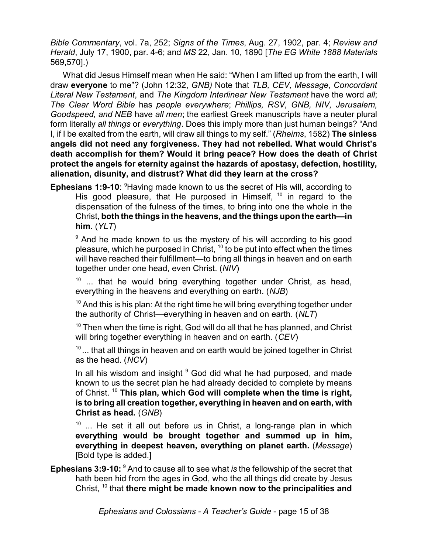*Bible Commentary*, vol. 7a, 252; *Signs of the Times*, Aug. 27, 1902, par. 4; *Review and Herald*, July 17, 1900, par. 4-6; and *MS* 22, Jan. 10, 1890 [*The EG White 1888 Materials* 569,570].)

What did Jesus Himself mean when He said: "When I am lifted up from the earth, I will draw **everyone** to me"? (John 12:32, *GNB)* Note that *TLB, CEV, Message*, *Concordant Literal New Testament*, and *The Kingdom Interlinear New Testament* have the word *all*; *The Clear Word Bible* has *people everywhere*; *Phillips, RSV, GNB, NIV, Jerusalem, Goodspeed, and NEB* have *all men*; the earliest Greek manuscripts have a neuter plural form literally *all things* or *everything*. Does this imply more than just human beings? "And I, if I be exalted from the earth, will draw all things to my self." (*Rheims*, 1582) **The sinless angels did not need any forgiveness. They had not rebelled. What would Christ's death accomplish for them? Would it bring peace? How does the death of Christ protect the angels for eternity against the hazards of apostasy, defection, hostility, alienation, disunity, and distrust? What did they learn at the cross?**

**Ephesians 1:9-10:** <sup>9</sup>Having made known to us the secret of His will, according to His good pleasure, that He purposed in Himself,  $^{10}$  in regard to the dispensation of the fulness of the times, to bring into one the whole in the Christ, **both the things in the heavens, and the things upon the earth—in him**. (*YLT*)

<sup>9</sup> And he made known to us the mystery of his will according to his good pleasure, which he purposed in Christ,  $^{\rm 10}$  to be put into effect when the times will have reached their fulfillment—to bring all things in heaven and on earth together under one head, even Christ. (*NIV*)

<sup>10</sup> ... that he would bring everything together under Christ, as head, everything in the heavens and everything on earth. (*NJB*)

 $10$  And this is his plan: At the right time he will bring everything together under the authority of Christ—everything in heaven and on earth. (*NLT*)

 $10$  Then when the time is right. God will do all that he has planned, and Christ will bring together everything in heaven and on earth. (*CEV*)

 $10$  ... that all things in heaven and on earth would be joined together in Christ as the head. (*NCV*)

In all his wisdom and insight  $9$  God did what he had purposed, and made known to us the secret plan he had already decided to complete by means of Christ. <sup>10</sup> **This plan, which God will complete when the time is right, is to bring all creation together, everything in heaven and on earth, with Christ as head.** (*GNB*)

<sup>10</sup> ... He set it all out before us in Christ, a long-range plan in which **everything would be brought together and summed up in him, everything in deepest heaven, everything on planet earth.** (*Message*) [Bold type is added.]

**Ephesians 3:9-10:** <sup>9</sup> And to cause all to see what *is* the fellowship of the secret that hath been hid from the ages in God, who the all things did create by Jesus Christ, <sup>10</sup> that **there might be made known now to the principalities and**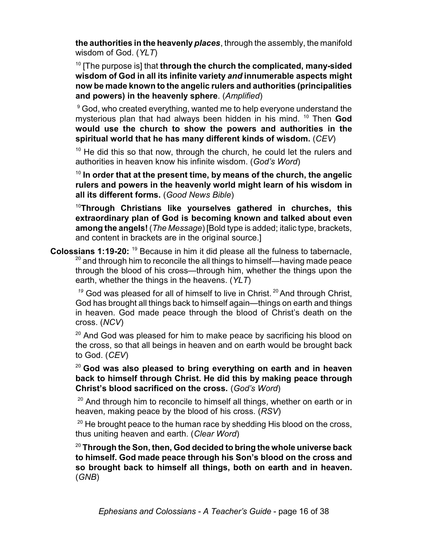**the authorities in the heavenly** *places*, through the assembly, the manifold wisdom of God. (*YLT*)

10 [The purpose is] that **through the church the complicated, many-sided wisdom of God in all its infinite variety** *and* **innumerable aspects might now be made known to the angelic rulers and authorities (principalities and powers) in the heavenly sphere**. (*Amplified*)

 $9^9$  God, who created everything, wanted me to help everyone understand the mysterious plan that had always been hidden in his mind. <sup>10</sup> Then **God would use the church to show the powers and authorities in the spiritual world that he has many different kinds of wisdom.** (*CEV*)

 $10$  He did this so that now, through the church, he could let the rulers and authorities in heaven know his infinite wisdom. (*God's Word*)

10 **In order that at the present time, by means of the church, the angelic rulers and powers in the heavenly world might learn of his wisdom in all its different forms.** (*Good News Bible*)

<sup>10</sup>**Through Christians like yourselves gathered in churches, this extraordinary plan of God is becoming known and talked about even among the angels!** (*The Message*) [Bold type is added; italic type, brackets, and content in brackets are in the original source.]

Colossians 1:19-20: <sup>19</sup> Because in him it did please all the fulness to tabernacle,  $^{\rm 20}$  and through him to reconcile the all things to himself—having made peace through the blood of his cross—through him, whether the things upon the earth, whether the things in the heavens. (*YLT*)

 $19$  God was pleased for all of himself to live in Christ.<sup>20</sup> And through Christ, God has brought all things back to himself again—things on earth and things in heaven. God made peace through the blood of Christ's death on the cross. (*NCV*)

 $20$  And God was pleased for him to make peace by sacrificing his blood on the cross, so that all beings in heaven and on earth would be brought back to God. (*CEV*)

<sup>20</sup> **God was also pleased to bring everything on earth and in heaven back to himself through Christ. He did this by making peace through Christ's blood sacrificed on the cross.** (*God's Word*)

 $20$  And through him to reconcile to himself all things, whether on earth or in heaven, making peace by the blood of his cross. (*RSV*)

 $20$  He brought peace to the human race by shedding His blood on the cross, thus uniting heaven and earth. (*Clear Word*)

<sup>20</sup> **Through the Son, then, God decided to bring the whole universe back to himself. God made peace through his Son's blood on the cross and so brought back to himself all things, both on earth and in heaven.** (*GNB*)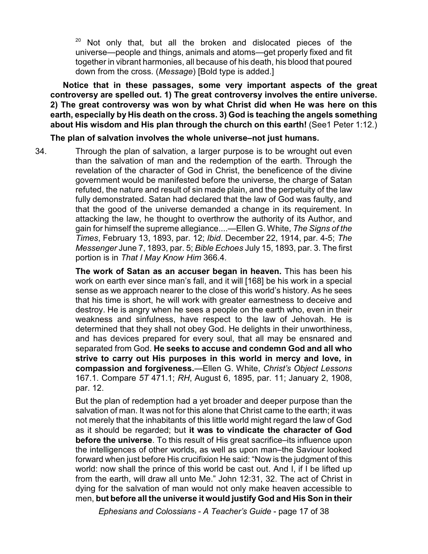$20$  Not only that, but all the broken and dislocated pieces of the universe—people and things, animals and atoms—get properly fixed and fit together in vibrant harmonies, all because of his death, his blood that poured down from the cross. (*Message*) [Bold type is added.]

**Notice that in these passages, some very important aspects of the great controversy are spelled out. 1) The great controversy involves the entire universe. 2) The great controversy was won by what Christ did when He was here on this earth, especially by His death on the cross. 3) God is teaching the angels something about His wisdom and His plan through the church on this earth!** (See1 Peter 1:12.)

**The plan of salvation involves the whole universe–not just humans.**

34. Through the plan of salvation, a larger purpose is to be wrought out even than the salvation of man and the redemption of the earth. Through the revelation of the character of God in Christ, the beneficence of the divine government would be manifested before the universe, the charge of Satan refuted, the nature and result of sin made plain, and the perpetuity of the law fully demonstrated. Satan had declared that the law of God was faulty, and that the good of the universe demanded a change in its requirement. In attacking the law, he thought to overthrow the authority of its Author, and gain for himself the supreme allegiance....—Ellen G. White, *The Signs of the Times*, February 13, 1893, par. 12; *Ibid*. December 22, 1914, par. 4-5; *The Messenger* June 7, 1893, par. 5; *Bible Echoes* July 15, 1893, par. 3. The first portion is in *That I May Know Him* 366.4.

> **The work of Satan as an accuser began in heaven.** This has been his work on earth ever since man's fall, and it will [168] be his work in a special sense as we approach nearer to the close of this world's history. As he sees that his time is short, he will work with greater earnestness to deceive and destroy. He is angry when he sees a people on the earth who, even in their weakness and sinfulness, have respect to the law of Jehovah. He is determined that they shall not obey God. He delights in their unworthiness, and has devices prepared for every soul, that all may be ensnared and separated from God. **He seeks to accuse and condemn God and all who strive to carry out His purposes in this world in mercy and love, in compassion and forgiveness.**—Ellen G. White, *Christ's Object Lessons* 167.1. Compare *5T* 471.1; *RH*, August 6, 1895, par. 11; January 2, 1908, par. 12.

> But the plan of redemption had a yet broader and deeper purpose than the salvation of man. It was not for this alone that Christ came to the earth; it was not merely that the inhabitants of this little world might regard the law of God as it should be regarded; but **it was to vindicate the character of God before the universe**. To this result of His great sacrifice–its influence upon the intelligences of other worlds, as well as upon man–the Saviour looked forward when just before His crucifixion He said: "Now is the judgment of this world: now shall the prince of this world be cast out. And I, if I be lifted up from the earth, will draw all unto Me." John 12:31, 32. The act of Christ in dying for the salvation of man would not only make heaven accessible to men, **but before all the universe it would justify God and His Son in their**

*Ephesians and Colossians - A Teacher's Guide* - page 17 of 38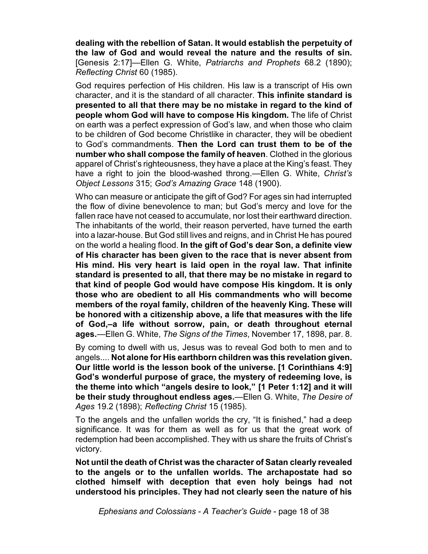**dealing with the rebellion of Satan. It would establish the perpetuity of the law of God and would reveal the nature and the results of sin.** [Genesis 2:17]—Ellen G. White, *Patriarchs and Prophets* 68.2 (1890); *Reflecting Christ* 60 (1985).

God requires perfection of His children. His law is a transcript of His own character, and it is the standard of all character. **This infinite standard is presented to all that there may be no mistake in regard to the kind of people whom God will have to compose His kingdom.** The life of Christ on earth was a perfect expression of God's law, and when those who claim to be children of God become Christlike in character, they will be obedient to God's commandments. **Then the Lord can trust them to be of the number who shall compose the family of heaven**. Clothed in the glorious apparel of Christ's righteousness, they have a place at the King's feast. They have a right to join the blood-washed throng.—Ellen G. White, *Christ's Object Lessons* 315; *God's Amazing Grace* 148 (1900).

Who can measure or anticipate the gift of God? For ages sin had interrupted the flow of divine benevolence to man; but God's mercy and love for the fallen race have not ceased to accumulate, nor lost their earthward direction. The inhabitants of the world, their reason perverted, have turned the earth into a lazar-house. But God still lives and reigns, and in Christ He has poured on the world a healing flood. **In the gift of God's dear Son, a definite view of His character has been given to the race that is never absent from His mind. His very heart is laid open in the royal law. That infinite standard is presented to all, that there may be no mistake in regard to that kind of people God would have compose His kingdom. It is only those who are obedient to all His commandments who will become members of the royal family, children of the heavenly King. These will be honored with a citizenship above, a life that measures with the life of God,–a life without sorrow, pain, or death throughout eternal ages.**—Ellen G. White, *The Signs of the Times*, November 17, 1898, par. 8.

By coming to dwell with us, Jesus was to reveal God both to men and to angels.... **Not alone for His earthborn children was this revelation given. Our little world is the lesson book of the universe. [1 Corinthians 4:9] God's wonderful purpose of grace, the mystery of redeeming love, is the theme into which "angels desire to look," [1 Peter 1:12] and it will be their study throughout endless ages.**—Ellen G. White, *The Desire of Ages* 19.2 (1898); *Reflecting Christ* 15 (1985).

To the angels and the unfallen worlds the cry, "It is finished," had a deep significance. It was for them as well as for us that the great work of redemption had been accomplished. They with us share the fruits of Christ's victory.

**Not until the death of Christ was the character of Satan clearly revealed to the angels or to the unfallen worlds. The archapostate had so clothed himself with deception that even holy beings had not understood his principles. They had not clearly seen the nature of his**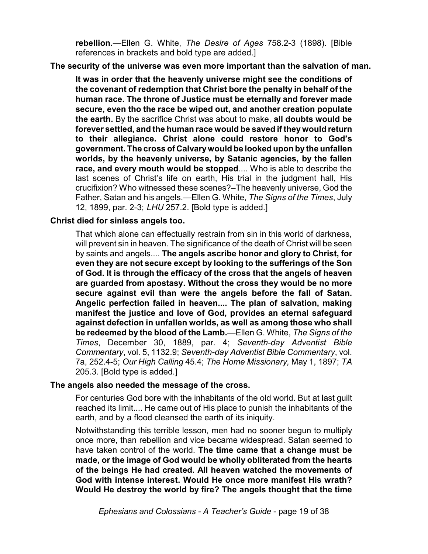**rebellion.**—Ellen G. White, *The Desire of Ages* 758.2-3 (1898). [Bible references in brackets and bold type are added.]

**The security of the universe was even more important than the salvation of man.**

**It was in order that the heavenly universe might see the conditions of the covenant of redemption that Christ bore the penalty in behalf of the human race. The throne of Justice must be eternally and forever made secure, even tho the race be wiped out, and another creation populate the earth.** By the sacrifice Christ was about to make, **all doubts would be forever settled, and the human race would be saved if theywould return to their allegiance. Christ alone could restore honor to God's government. The cross of Calvarywould be looked upon by the unfallen worlds, by the heavenly universe, by Satanic agencies, by the fallen race, and every mouth would be stopped**.... Who is able to describe the last scenes of Christ's life on earth, His trial in the judgment hall, His crucifixion? Who witnessed these scenes?–The heavenly universe, God the Father, Satan and his angels.—Ellen G. White, *The Signs of the Times*, July 12, 1899, par. 2-3; *LHU* 257.2. [Bold type is added.]

## **Christ died for sinless angels too.**

That which alone can effectually restrain from sin in this world of darkness, will prevent sin in heaven. The significance of the death of Christ will be seen by saints and angels.... **The angels ascribe honor and glory to Christ, for even they are not secure except by looking to the sufferings of the Son of God. It is through the efficacy of the cross that the angels of heaven are guarded from apostasy. Without the cross they would be no more secure against evil than were the angels before the fall of Satan. Angelic perfection failed in heaven.... The plan of salvation, making manifest the justice and love of God, provides an eternal safeguard against defection in unfallen worlds, as well as among those who shall be redeemed by the blood of the Lamb.**—Ellen G. White, *The Signs of the Times*, December 30, 1889, par. 4; *Seventh-day Adventist Bible Commentary*, vol. 5, 1132.9; *Seventh-day Adventist Bible Commentary*, vol. 7a, 252.4-5; *Our High Calling* 45.4; *The Home Missionary,* May 1, 1897; *TA* 205.3. [Bold type is added.]

## **The angels also needed the message of the cross.**

For centuries God bore with the inhabitants of the old world. But at last guilt reached its limit.... He came out of His place to punish the inhabitants of the earth, and by a flood cleansed the earth of its iniquity.

Notwithstanding this terrible lesson, men had no sooner begun to multiply once more, than rebellion and vice became widespread. Satan seemed to have taken control of the world. **The time came that a change must be made, or the image of God would be wholly obliterated from the hearts of the beings He had created. All heaven watched the movements of God with intense interest. Would He once more manifest His wrath? Would He destroy the world by fire? The angels thought that the time**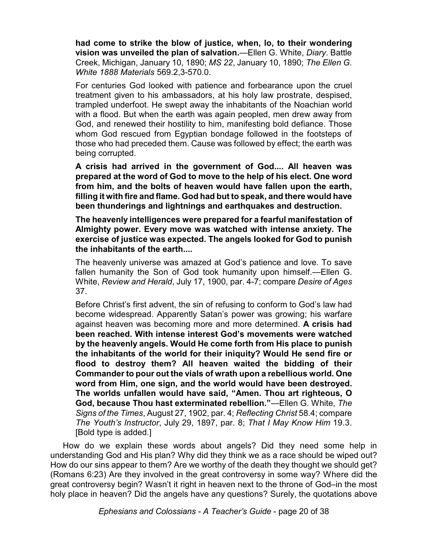**had come to strike the blow of justice, when, lo, to their wondering vision was unveiled the plan of salvation.**—Ellen G. White, *Diary*. Battle Creek, Michigan, January 10, 1890; *MS 22*, January 10, 1890; *The Ellen G. White 1888 Materials* 569.2,3-570.0.

For centuries God looked with patience and forbearance upon the cruel treatment given to his ambassadors, at his holy law prostrate, despised, trampled underfoot. He swept away the inhabitants of the Noachian world with a flood. But when the earth was again peopled, men drew away from God, and renewed their hostility to him, manifesting bold defiance. Those whom God rescued from Egyptian bondage followed in the footsteps of those who had preceded them. Cause was followed by effect; the earth was being corrupted.

**A crisis had arrived in the government of God.... All heaven was prepared at the word of God to move to the help of his elect. One word from him, and the bolts of heaven would have fallen upon the earth, filling it with fire and flame. God had but to speak, and there would have been thunderings and lightnings and earthquakes and destruction.**

**The heavenly intelligences were prepared for a fearful manifestation of Almighty power. Every move was watched with intense anxiety. The exercise of justice was expected. The angels looked for God to punish the inhabitants of the earth....**

The heavenly universe was amazed at God's patience and love. To save fallen humanity the Son of God took humanity upon himself.—Ellen G. White, *Review and Herald*, July 17, 1900, par. 4-7; compare *Desire of Ages* 37.

Before Christ's first advent, the sin of refusing to conform to God's law had become widespread. Apparently Satan's power was growing; his warfare against heaven was becoming more and more determined. **A crisis had been reached. With intense interest God's movements were watched by the heavenly angels. Would He come forth from His place to punish the inhabitants of the world for their iniquity? Would He send fire or flood to destroy them? All heaven waited the bidding of their Commander to pour out the vials of wrath upon a rebellious world. One word from Him, one sign, and the world would have been destroyed. The worlds unfallen would have said, "Amen. Thou art righteous, O God, because Thou hast exterminated rebellion."**—Ellen G. White, *The Signs of the Times*, August 27, 1902, par. 4; *Reflecting Christ* 58.4; compare *The Youth's Instructor*, July 29, 1897, par. 8; *That I May Know Him* 19.3. [Bold type is added.]

How do we explain these words about angels? Did they need some help in understanding God and His plan? Why did they think we as a race should be wiped out? How do our sins appear to them? Are we worthy of the death they thought we should get? (Romans 6:23) Are they involved in the great controversy in some way? Where did the great controversy begin? Wasn't it right in heaven next to the throne of God–in the most holy place in heaven? Did the angels have any questions? Surely, the quotations above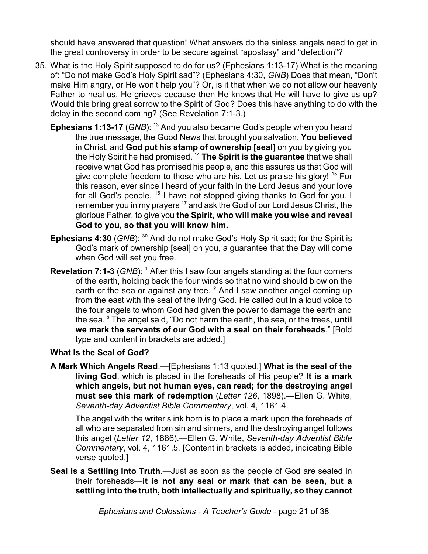should have answered that question! What answers do the sinless angels need to get in the great controversy in order to be secure against "apostasy" and "defection"?

- 35. What is the Holy Spirit supposed to do for us? (Ephesians 1:13-17) What is the meaning of: "Do not make God's Holy Spirit sad"? (Ephesians 4:30, *GNB*) Does that mean, "Don't make Him angry, or He won't help you"? Or, is it that when we do not allow our heavenly Father to heal us, He grieves because then He knows that He will have to give us up? Would this bring great sorrow to the Spirit of God? Does this have anything to do with the delay in the second coming? (See Revelation 7:1-3.)
	- **Ephesians 1:13-17** (*GNB*): <sup>13</sup> And you also became God's people when you heard the true message, the Good News that brought you salvation. **You believed** in Christ, and **God put his stamp of ownership [seal]** on you by giving you the Holy Spirit he had promised. <sup>14</sup> **The Spirit is the guarantee** that we shall receive what God has promised his people, and this assures us that God will give complete freedom to those who are his. Let us praise his glory! <sup>15</sup> For this reason, ever since I heard of your faith in the Lord Jesus and your love for all God's people, <sup>16</sup> I have not stopped giving thanks to God for you. I remember you in my prayers  $^{\rm 17}$  and ask the God of our Lord Jesus Christ, the glorious Father, to give you **the Spirit, who will make you wise and reveal God to you, so that you will know him.**
	- **Ephesians 4:30** (*GNB*): <sup>30</sup> And do not make God's Holy Spirit sad; for the Spirit is God's mark of ownership [seal] on you, a guarantee that the Day will come when God will set you free.
	- **Revelation 7:1-3** (*GNB*): <sup>1</sup> After this I saw four angels standing at the four corners of the earth, holding back the four winds so that no wind should blow on the earth or the sea or against any tree.  $<sup>2</sup>$  And I saw another angel coming up</sup> from the east with the seal of the living God. He called out in a loud voice to the four angels to whom God had given the power to damage the earth and the sea. <sup>3</sup> The angel said, "Do not harm the earth, the sea, or the trees, **until we mark the servants of our God with a seal on their foreheads**." [Bold type and content in brackets are added.]

## **What Is the Seal of God?**

**A Mark Which Angels Read**.—[Ephesians 1:13 quoted.] **What is the seal of the living God**, which is placed in the foreheads of His people? **It is a mark which angels, but not human eyes, can read; for the destroying angel must see this mark of redemption** (*Letter 126*, 1898).—Ellen G. White, *Seventh-day Adventist Bible Commentary*, vol. 4, 1161.4.

The angel with the writer's ink horn is to place a mark upon the foreheads of all who are separated from sin and sinners, and the destroying angel follows this angel (*Letter 12*, 1886).—Ellen G. White, *Seventh-day Adventist Bible Commentary*, vol. 4, 1161.5. [Content in brackets is added, indicating Bible verse quoted.]

**Seal Is a Settling Into Truth**.—Just as soon as the people of God are sealed in their foreheads—**it is not any seal or mark that can be seen, but a settling into the truth, both intellectually and spiritually, so they cannot**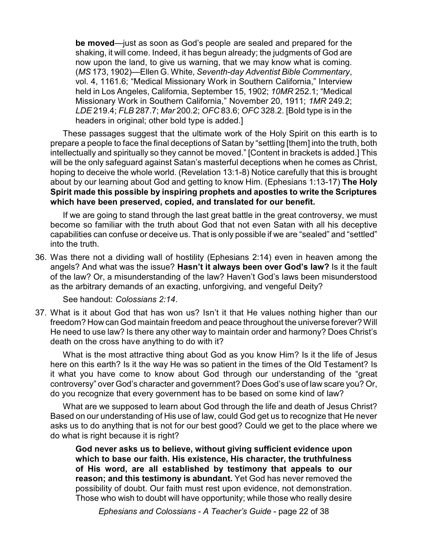**be moved**—just as soon as God's people are sealed and prepared for the shaking, it will come. Indeed, it has begun already; the judgments of God are now upon the land, to give us warning, that we may know what is coming. (*MS* 173, 1902)—Ellen G. White, *Seventh-day Adventist Bible Commentary*, vol. 4, 1161.6; "Medical Missionary Work in Southern California," Interview held in Los Angeles, California, September 15, 1902; *10MR* 252.1; "Medical Missionary Work in Southern California," November 20, 1911; *1MR* 249.2; *LDE* 219.4; *FLB* 287.7; *Mar* 200.2; *OFC* 83.6; *OFC* 328.2. [Bold type is in the headers in original; other bold type is added.]

These passages suggest that the ultimate work of the Holy Spirit on this earth is to prepare a people to face the final deceptions of Satan by "settling [them] into the truth, both intellectually and spiritually so they cannot be moved." [Content in brackets is added.] This will be the only safeguard against Satan's masterful deceptions when he comes as Christ, hoping to deceive the whole world. (Revelation 13:1-8) Notice carefully that this is brought about by our learning about God and getting to know Him. (Ephesians 1:13-17) **The Holy Spirit made this possible by inspiring prophets and apostles to write the Scriptures which have been preserved, copied, and translated for our benefit.**

If we are going to stand through the last great battle in the great controversy, we must become so familiar with the truth about God that not even Satan with all his deceptive capabilities can confuse or deceive us. That is only possible if we are "sealed" and "settled" into the truth.

36. Was there not a dividing wall of hostility (Ephesians 2:14) even in heaven among the angels? And what was the issue? **Hasn't it always been over God's law?** Is it the fault of the law? Or, a misunderstanding of the law? Haven't God's laws been misunderstood as the arbitrary demands of an exacting, unforgiving, and vengeful Deity?

See handout: *Colossians 2:14*.

37. What is it about God that has won us? Isn't it that He values nothing higher than our freedom? How can God maintain freedom and peace throughout the universe forever? Will He need to use law? Is there any other way to maintain order and harmony? Does Christ's death on the cross have anything to do with it?

What is the most attractive thing about God as you know Him? Is it the life of Jesus here on this earth? Is it the way He was so patient in the times of the Old Testament? Is it what you have come to know about God through our understanding of the "great controversy" over God's character and government? Does God's use of law scare you? Or, do you recognize that every government has to be based on some kind of law?

What are we supposed to learn about God through the life and death of Jesus Christ? Based on our understanding of His use of law, could God get us to recognize that He never asks us to do anything that is not for our best good? Could we get to the place where we do what is right because it is right?

**God never asks us to believe, without giving sufficient evidence upon which to base our faith. His existence, His character, the truthfulness of His word, are all established by testimony that appeals to our reason; and this testimony is abundant.** Yet God has never removed the possibility of doubt. Our faith must rest upon evidence, not demonstration. Those who wish to doubt will have opportunity; while those who really desire

*Ephesians and Colossians - A Teacher's Guide* - page 22 of 38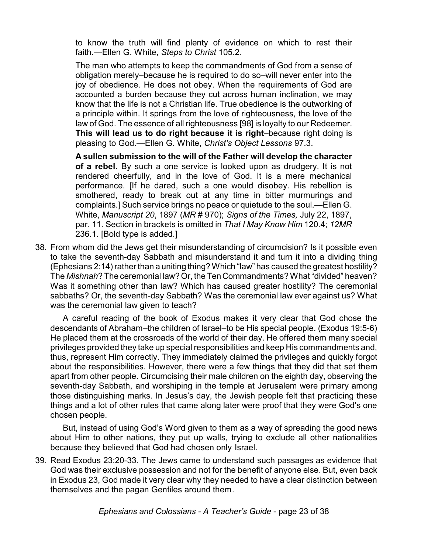to know the truth will find plenty of evidence on which to rest their faith.—Ellen G. White, *Steps to Christ* 105.2.

The man who attempts to keep the commandments of God from a sense of obligation merely–because he is required to do so–will never enter into the joy of obedience. He does not obey. When the requirements of God are accounted a burden because they cut across human inclination, we may know that the life is not a Christian life. True obedience is the outworking of a principle within. It springs from the love of righteousness, the love of the law of God. The essence of all righteousness [98] is loyalty to our Redeemer. **This will lead us to do right because it is right**–because right doing is pleasing to God.—Ellen G. White, *Christ's Object Lessons* 97.3.

**A sullen submission to the will of the Father will develop the character of a rebel.** By such a one service is looked upon as drudgery. It is not rendered cheerfully, and in the love of God. It is a mere mechanical performance. [If he dared, such a one would disobey. His rebellion is smothered, ready to break out at any time in bitter murmurings and complaints.] Such service brings no peace or quietude to the soul.—Ellen G. White, *Manuscript 20*, 1897 (*MR* # 970); *Signs of the Times,* July 22, 1897, par. 11. Section in brackets is omitted in *That I May Know Him* 120.4; *12MR* 236.1. [Bold type is added.]

38. From whom did the Jews get their misunderstanding of circumcision? Is it possible even to take the seventh-day Sabbath and misunderstand it and turn it into a dividing thing (Ephesians 2:14) rather than a uniting thing? Which "law" has caused the greatest hostility? The *Mishnah*? The ceremonial law? Or, the Ten Commandments? What "divided" heaven? Was it something other than law? Which has caused greater hostility? The ceremonial sabbaths? Or, the seventh-day Sabbath? Was the ceremonial law ever against us? What was the ceremonial law given to teach?

A careful reading of the book of Exodus makes it very clear that God chose the descendants of Abraham–the children of Israel–to be His special people. (Exodus 19:5-6) He placed them at the crossroads of the world of their day. He offered them many special privileges provided they take up special responsibilities and keep His commandments and, thus, represent Him correctly. They immediately claimed the privileges and quickly forgot about the responsibilities. However, there were a few things that they did that set them apart from other people. Circumcising their male children on the eighth day, observing the seventh-day Sabbath, and worshiping in the temple at Jerusalem were primary among those distinguishing marks. In Jesus's day, the Jewish people felt that practicing these things and a lot of other rules that came along later were proof that they were God's one chosen people.

But, instead of using God's Word given to them as a way of spreading the good news about Him to other nations, they put up walls, trying to exclude all other nationalities because they believed that God had chosen only Israel.

39. Read Exodus 23:20-33. The Jews came to understand such passages as evidence that God was their exclusive possession and not for the benefit of anyone else. But, even back in Exodus 23, God made it very clear why they needed to have a clear distinction between themselves and the pagan Gentiles around them.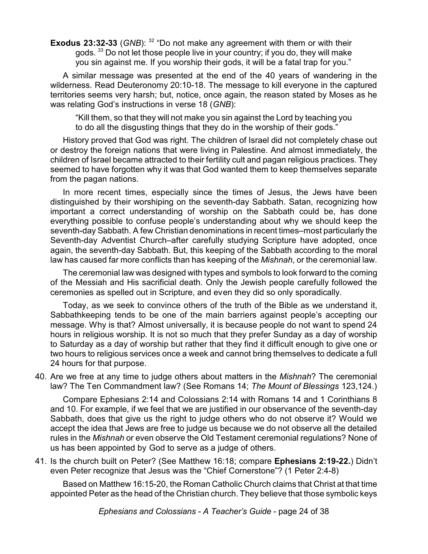**Exodus 23:32-33** (GNB): <sup>32</sup> "Do not make any agreement with them or with their gods.  $33$  Do not let those people live in your country; if you do, they will make you sin against me. If you worship their gods, it will be a fatal trap for you."

A similar message was presented at the end of the 40 years of wandering in the wilderness. Read Deuteronomy 20:10-18. The message to kill everyone in the captured territories seems very harsh; but, notice, once again, the reason stated by Moses as he was relating God's instructions in verse 18 (*GNB*):

"Kill them, so that they will not make you sin against the Lord by teaching you to do all the disgusting things that they do in the worship of their gods."

History proved that God was right. The children of Israel did not completely chase out or destroy the foreign nations that were living in Palestine. And almost immediately, the children of Israel became attracted to their fertility cult and pagan religious practices. They seemed to have forgotten why it was that God wanted them to keep themselves separate from the pagan nations.

In more recent times, especially since the times of Jesus, the Jews have been distinguished by their worshiping on the seventh-day Sabbath. Satan, recognizing how important a correct understanding of worship on the Sabbath could be, has done everything possible to confuse people's understanding about why we should keep the seventh-day Sabbath. A few Christian denominations in recent times–most particularly the Seventh-day Adventist Church–after carefully studying Scripture have adopted, once again, the seventh-day Sabbath. But, this keeping of the Sabbath according to the moral law has caused far more conflicts than has keeping of the *Mishnah*, or the ceremonial law.

The ceremonial law was designed with types and symbols to look forward to the coming of the Messiah and His sacrificial death. Only the Jewish people carefully followed the ceremonies as spelled out in Scripture, and even they did so only sporadically.

Today, as we seek to convince others of the truth of the Bible as we understand it, Sabbathkeeping tends to be one of the main barriers against people's accepting our message. Why is that? Almost universally, it is because people do not want to spend 24 hours in religious worship. It is not so much that they prefer Sunday as a day of worship to Saturday as a day of worship but rather that they find it difficult enough to give one or two hours to religious services once a week and cannot bring themselves to dedicate a full 24 hours for that purpose.

40. Are we free at any time to judge others about matters in the *Mishnah*? The ceremonial law? The Ten Commandment law? (See Romans 14; *The Mount of Blessings* 123,124.)

Compare Ephesians 2:14 and Colossians 2:14 with Romans 14 and 1 Corinthians 8 and 10. For example, if we feel that we are justified in our observance of the seventh-day Sabbath, does that give us the right to judge others who do not observe it? Would we accept the idea that Jews are free to judge us because we do not observe all the detailed rules in the *Mishnah* or even observe the Old Testament ceremonial regulations? None of us has been appointed by God to serve as a judge of others.

41. Is the church built on Peter? (See Matthew 16:18; compare **Ephesians 2:19-22.**) Didn't even Peter recognize that Jesus was the "Chief Cornerstone"? (1 Peter 2:4-8)

Based on Matthew 16:15-20, the Roman Catholic Church claims that Christ at that time appointed Peter as the head of the Christian church. They believe that those symbolic keys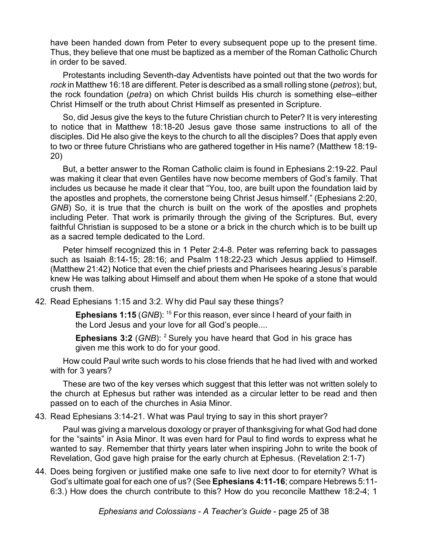have been handed down from Peter to every subsequent pope up to the present time. Thus, they believe that one must be baptized as a member of the Roman Catholic Church in order to be saved.

Protestants including Seventh-day Adventists have pointed out that the two words for *rock* in Matthew 16:18 are different. Peter is described as a small rolling stone (*petros*); but, the rock foundation (*petra*) on which Christ builds His church is something else–either Christ Himself or the truth about Christ Himself as presented in Scripture.

So, did Jesus give the keys to the future Christian church to Peter? It is very interesting to notice that in Matthew 18:18-20 Jesus gave those same instructions to all of the disciples. Did He also give the keys to the church to all the disciples? Does that apply even to two or three future Christians who are gathered together in His name? (Matthew 18:19- 20)

But, a better answer to the Roman Catholic claim is found in Ephesians 2:19-22. Paul was making it clear that even Gentiles have now become members of God's family. That includes us because he made it clear that "You, too, are built upon the foundation laid by the apostles and prophets, the cornerstone being Christ Jesus himself." (Ephesians 2:20, *GNB*) So, it is true that the church is built on the work of the apostles and prophets including Peter. That work is primarily through the giving of the Scriptures. But, every faithful Christian is supposed to be a stone or a brick in the church which is to be built up as a sacred temple dedicated to the Lord.

Peter himself recognized this in 1 Peter 2:4-8. Peter was referring back to passages such as Isaiah 8:14-15; 28:16; and Psalm 118:22-23 which Jesus applied to Himself. (Matthew 21:42) Notice that even the chief priests and Pharisees hearing Jesus's parable knew He was talking about Himself and about them when He spoke of a stone that would crush them.

42. Read Ephesians 1:15 and 3:2. Why did Paul say these things?

**Ephesians 1:15** (*GNB*): <sup>15</sup> For this reason, ever since I heard of your faith in the Lord Jesus and your love for all God's people....

**Ephesians 3:2** (*GNB*): <sup>2</sup> Surely you have heard that God in his grace has given me this work to do for your good.

How could Paul write such words to his close friends that he had lived with and worked with for 3 years?

These are two of the key verses which suggest that this letter was not written solely to the church at Ephesus but rather was intended as a circular letter to be read and then passed on to each of the churches in Asia Minor.

43. Read Ephesians 3:14-21. What was Paul trying to say in this short prayer?

Paul was giving a marvelous doxology or prayer of thanksgiving for what God had done for the "saints" in Asia Minor. It was even hard for Paul to find words to express what he wanted to say. Remember that thirty years later when inspiring John to write the book of Revelation, God gave high praise for the early church at Ephesus. (Revelation 2:1-7)

44. Does being forgiven or justified make one safe to live next door to for eternity? What is God's ultimate goal for each one of us? (See **Ephesians 4:11-16**; compare Hebrews 5:11- 6:3.) How does the church contribute to this? How do you reconcile Matthew 18:2-4; 1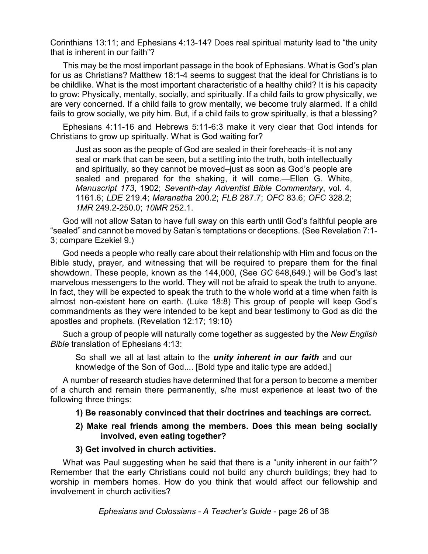Corinthians 13:11; and Ephesians 4:13-14? Does real spiritual maturity lead to "the unity that is inherent in our faith"?

This may be the most important passage in the book of Ephesians. What is God's plan for us as Christians? Matthew 18:1-4 seems to suggest that the ideal for Christians is to be childlike. What is the most important characteristic of a healthy child? It is his capacity to grow: Physically, mentally, socially, and spiritually. If a child fails to grow physically, we are very concerned. If a child fails to grow mentally, we become truly alarmed. If a child fails to grow socially, we pity him. But, if a child fails to grow spiritually, is that a blessing?

Ephesians 4:11-16 and Hebrews 5:11-6:3 make it very clear that God intends for Christians to grow up spiritually. What is God waiting for?

Just as soon as the people of God are sealed in their foreheads–it is not any seal or mark that can be seen, but a settling into the truth, both intellectually and spiritually, so they cannot be moved–just as soon as God's people are sealed and prepared for the shaking, it will come.—Ellen G. White, *Manuscript 173*, 1902; *Seventh-day Adventist Bible Commentary*, vol. 4, 1161.6; *LDE* 219.4; *Maranatha* 200.2; *FLB* 287.7; *OFC* 83.6; *OFC* 328.2; *1MR* 249.2-250.0; *10MR* 252.1.

God will not allow Satan to have full sway on this earth until God's faithful people are "sealed" and cannot be moved by Satan's temptations or deceptions. (See Revelation 7:1- 3; compare Ezekiel 9.)

God needs a people who really care about their relationship with Him and focus on the Bible study, prayer, and witnessing that will be required to prepare them for the final showdown. These people, known as the 144,000, (See *GC* 648,649.) will be God's last marvelous messengers to the world. They will not be afraid to speak the truth to anyone. In fact, they will be expected to speak the truth to the whole world at a time when faith is almost non-existent here on earth. (Luke 18:8) This group of people will keep God's commandments as they were intended to be kept and bear testimony to God as did the apostles and prophets. (Revelation 12:17; 19:10)

Such a group of people will naturally come together as suggested by the *New English Bible* translation of Ephesians 4:13:

So shall we all at last attain to the *unity inherent in our faith* and our knowledge of the Son of God.... [Bold type and italic type are added.]

A number of research studies have determined that for a person to become a member of a church and remain there permanently, s/he must experience at least two of the following three things:

## **1) Be reasonably convinced that their doctrines and teachings are correct.**

## **2) Make real friends among the members. Does this mean being socially involved, even eating together?**

## **3) Get involved in church activities.**

What was Paul suggesting when he said that there is a "unity inherent in our faith"? Remember that the early Christians could not build any church buildings; they had to worship in members homes. How do you think that would affect our fellowship and involvement in church activities?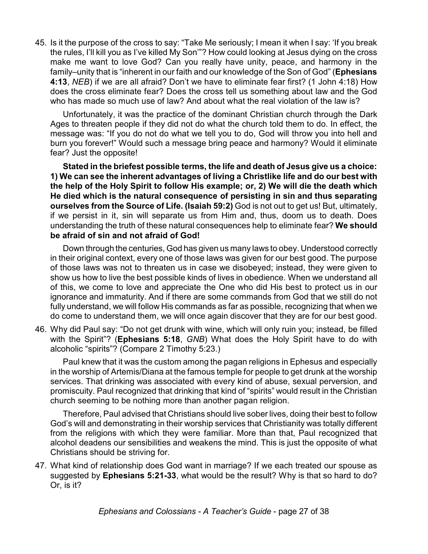45. Is it the purpose of the cross to say: "Take Me seriously; I mean it when I say: 'If you break the rules, I'll kill you as I've killed My Son'"? How could looking at Jesus dying on the cross make me want to love God? Can you really have unity, peace, and harmony in the family–unity that is "inherent in our faith and our knowledge of the Son of God" (**Ephesians 4:13**, *NEB*) if we are all afraid? Don't we have to eliminate fear first? (1 John 4:18) How does the cross eliminate fear? Does the cross tell us something about law and the God who has made so much use of law? And about what the real violation of the law is?

Unfortunately, it was the practice of the dominant Christian church through the Dark Ages to threaten people if they did not do what the church told them to do. In effect, the message was: "If you do not do what we tell you to do, God will throw you into hell and burn you forever!" Would such a message bring peace and harmony? Would it eliminate fear? Just the opposite!

**Stated in the briefest possible terms, the life and death of Jesus give us a choice: 1) We can see the inherent advantages of living a Christlike life and do our best with the help of the Holy Spirit to follow His example; or, 2) We will die the death which He died which is the natural consequence of persisting in sin and thus separating ourselves from the Source of Life. (Isaiah 59:2)** God is not out to get us! But, ultimately, if we persist in it, sin will separate us from Him and, thus, doom us to death. Does understanding the truth of these natural consequences help to eliminate fear? **We should be afraid of sin and not afraid of God!**

Down through the centuries, God has given us many laws to obey. Understood correctly in their original context, every one of those laws was given for our best good. The purpose of those laws was not to threaten us in case we disobeyed; instead, they were given to show us how to live the best possible kinds of lives in obedience. When we understand all of this, we come to love and appreciate the One who did His best to protect us in our ignorance and immaturity. And if there are some commands from God that we still do not fully understand, we will follow His commands as far as possible, recognizing that when we do come to understand them, we will once again discover that they are for our best good.

46. Why did Paul say: "Do not get drunk with wine, which will only ruin you; instead, be filled with the Spirit"? (**Ephesians 5:18**, *GNB*) What does the Holy Spirit have to do with alcoholic "spirits"? (Compare 2 Timothy 5:23.)

Paul knew that it was the custom among the pagan religions in Ephesus and especially in the worship of Artemis/Diana at the famous temple for people to get drunk at the worship services. That drinking was associated with every kind of abuse, sexual perversion, and promiscuity. Paul recognized that drinking that kind of "spirits" would result in the Christian church seeming to be nothing more than another pagan religion.

Therefore, Paul advised that Christians should live sober lives, doing their best to follow God's will and demonstrating in their worship services that Christianity was totally different from the religions with which they were familiar. More than that, Paul recognized that alcohol deadens our sensibilities and weakens the mind. This is just the opposite of what Christians should be striving for.

47. What kind of relationship does God want in marriage? If we each treated our spouse as suggested by **Ephesians 5:21-33**, what would be the result? Why is that so hard to do? Or, is it?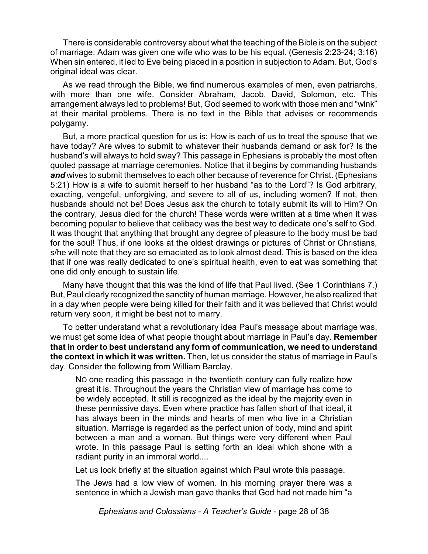There is considerable controversy about what the teaching of the Bible is on the subject of marriage. Adam was given one wife who was to be his equal. (Genesis 2:23-24; 3:16) When sin entered, it led to Eve being placed in a position in subjection to Adam. But, God's original ideal was clear.

As we read through the Bible, we find numerous examples of men, even patriarchs, with more than one wife. Consider Abraham, Jacob, David, Solomon, etc. This arrangement always led to problems! But, God seemed to work with those men and "wink" at their marital problems. There is no text in the Bible that advises or recommends polygamy.

But, a more practical question for us is: How is each of us to treat the spouse that we have today? Are wives to submit to whatever their husbands demand or ask for? Is the husband's will always to hold sway? This passage in Ephesians is probably the most often quoted passage at marriage ceremonies. Notice that it begins by commanding husbands *and* wives to submit themselves to each other because of reverence for Christ. (Ephesians 5:21) How is a wife to submit herself to her husband "as to the Lord"? Is God arbitrary, exacting, vengeful, unforgiving, and severe to all of us, including women? If not, then husbands should not be! Does Jesus ask the church to totally submit its will to Him? On the contrary, Jesus died for the church! These words were written at a time when it was becoming popular to believe that celibacy was the best way to dedicate one's self to God. It was thought that anything that brought any degree of pleasure to the body must be bad for the soul! Thus, if one looks at the oldest drawings or pictures of Christ or Christians, s/he will note that they are so emaciated as to look almost dead. This is based on the idea that if one was really dedicated to one's spiritual health, even to eat was something that one did only enough to sustain life.

Many have thought that this was the kind of life that Paul lived. (See 1 Corinthians 7.) But, Paul clearly recognized the sanctity of human marriage. However, he also realized that in a day when people were being killed for their faith and it was believed that Christ would return very soon, it might be best not to marry.

To better understand what a revolutionary idea Paul's message about marriage was, we must get some idea of what people thought about marriage in Paul's day. **Remember that in order to best understand any form of communication, we need to understand the context in which it was written.** Then, let us consider the status of marriage in Paul's day. Consider the following from William Barclay.

NO one reading this passage in the twentieth century can fully realize how great it is. Throughout the years the Christian view of marriage has come to be widely accepted. It still is recognized as the ideal by the majority even in these permissive days. Even where practice has fallen short of that ideal, it has always been in the minds and hearts of men who live in a Christian situation. Marriage is regarded as the perfect union of body, mind and spirit between a man and a woman. But things were very different when Paul wrote. In this passage Paul is setting forth an ideal which shone with a radiant purity in an immoral world....

Let us look briefly at the situation against which Paul wrote this passage.

The Jews had a low view of women. In his morning prayer there was a sentence in which a Jewish man gave thanks that God had not made him "a

*Ephesians and Colossians - A Teacher's Guide* - page 28 of 38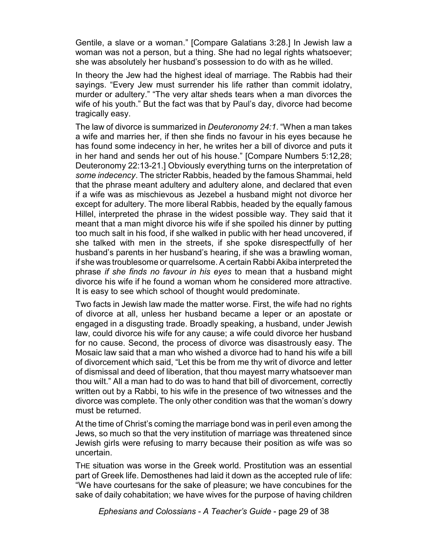Gentile, a slave or a woman." [Compare Galatians 3:28.] In Jewish law a woman was not a person, but a thing. She had no legal rights whatsoever; she was absolutely her husband's possession to do with as he willed.

In theory the Jew had the highest ideal of marriage. The Rabbis had their sayings. "Every Jew must surrender his life rather than commit idolatry, murder or adultery." "The very altar sheds tears when a man divorces the wife of his youth." But the fact was that by Paul's day, divorce had become tragically easy.

The law of divorce is summarized in *Deuteronomy 24:1*. "When a man takes a wife and marries her, if then she finds no favour in his eyes because he has found some indecency in her, he writes her a bill of divorce and puts it in her hand and sends her out of his house." [Compare Numbers 5:12,28; Deuteronomy 22:13-21.] Obviously everything turns on the interpretation of *some indecency*. The stricter Rabbis, headed by the famous Shammai, held that the phrase meant adultery and adultery alone, and declared that even if a wife was as mischievous as Jezebel a husband might not divorce her except for adultery. The more liberal Rabbis, headed by the equally famous Hillel, interpreted the phrase in the widest possible way. They said that it meant that a man might divorce his wife if she spoiled his dinner by putting too much salt in his food, if she walked in public with her head uncovered, if she talked with men in the streets, if she spoke disrespectfully of her husband's parents in her husband's hearing, if she was a brawling woman, if she was troublesome or quarrelsome. A certain Rabbi Akiba interpreted the phrase *if she finds no favour in his eyes* to mean that a husband might divorce his wife if he found a woman whom he considered more attractive. It is easy to see which school of thought would predominate.

Two facts in Jewish law made the matter worse. First, the wife had no rights of divorce at all, unless her husband became a leper or an apostate or engaged in a disgusting trade. Broadly speaking, a husband, under Jewish law, could divorce his wife for any cause; a wife could divorce her husband for no cause. Second, the process of divorce was disastrously easy. The Mosaic law said that a man who wished a divorce had to hand his wife a bill of divorcement which said, "Let this be from me thy writ of divorce and letter of dismissal and deed of liberation, that thou mayest marry whatsoever man thou wilt." All a man had to do was to hand that bill of divorcement, correctly written out by a Rabbi, to his wife in the presence of two witnesses and the divorce was complete. The only other condition was that the woman's dowry must be returned.

At the time of Christ's coming the marriage bond was in peril even among the Jews, so much so that the very institution of marriage was threatened since Jewish girls were refusing to marry because their position as wife was so uncertain.

THE situation was worse in the Greek world. Prostitution was an essential part of Greek life. Demosthenes had laid it down as the accepted rule of life: "We have courtesans for the sake of pleasure; we have concubines for the sake of daily cohabitation; we have wives for the purpose of having children

*Ephesians and Colossians - A Teacher's Guide* - page 29 of 38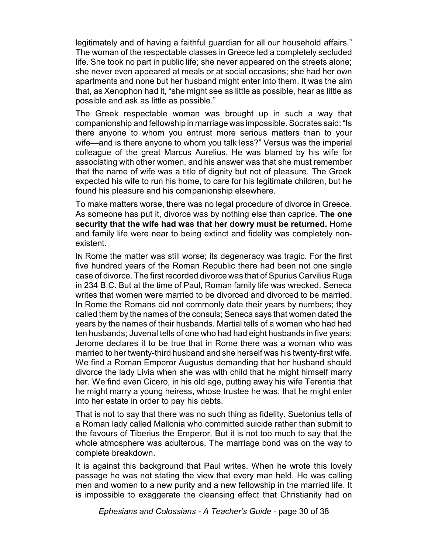legitimately and of having a faithful guardian for all our household affairs." The woman of the respectable classes in Greece led a completely secluded life. She took no part in public life; she never appeared on the streets alone; she never even appeared at meals or at social occasions; she had her own apartments and none but her husband might enter into them. It was the aim that, as Xenophon had it, "she might see as little as possible, hear as little as possible and ask as little as possible."

The Greek respectable woman was brought up in such a way that companionship and fellowship in marriage was impossible. Socrates said: "Is there anyone to whom you entrust more serious matters than to your wife—and is there anyone to whom you talk less?" Versus was the imperial colleague of the great Marcus Aurelius. He was blamed by his wife for associating with other women, and his answer was that she must remember that the name of wife was a title of dignity but not of pleasure. The Greek expected his wife to run his home, to care for his legitimate children, but he found his pleasure and his companionship elsewhere.

To make matters worse, there was no legal procedure of divorce in Greece. As someone has put it, divorce was by nothing else than caprice. **The one security that the wife had was that her dowry must be returned.** Home and family life were near to being extinct and fidelity was completely nonexistent.

IN Rome the matter was still worse; its degeneracy was tragic. For the first five hundred years of the Roman Republic there had been not one single case of divorce. The first recorded divorce was that of Spurius Carvilius Ruga in 234 B.C. But at the time of Paul, Roman family life was wrecked. Seneca writes that women were married to be divorced and divorced to be married. In Rome the Romans did not commonly date their years by numbers; they called them by the names of the consuls; Seneca says that women dated the years by the names of their husbands. Martial tells of a woman who had had ten husbands; Juvenal tells of one who had had eight husbands in five years; Jerome declares it to be true that in Rome there was a woman who was married to her twenty-third husband and she herself was his twenty-first wife. We find a Roman Emperor Augustus demanding that her husband should divorce the lady Livia when she was with child that he might himself marry her. We find even Cicero, in his old age, putting away his wife Terentia that he might marry a young heiress, whose trustee he was, that he might enter into her estate in order to pay his debts.

That is not to say that there was no such thing as fidelity. Suetonius tells of a Roman lady called Mallonia who committed suicide rather than submit to the favours of Tiberius the Emperor. But it is not too much to say that the whole atmosphere was adulterous. The marriage bond was on the way to complete breakdown.

It is against this background that Paul writes. When he wrote this lovely passage he was not stating the view that every man held. He was calling men and women to a new purity and a new fellowship in the married life. It is impossible to exaggerate the cleansing effect that Christianity had on

*Ephesians and Colossians - A Teacher's Guide* - page 30 of 38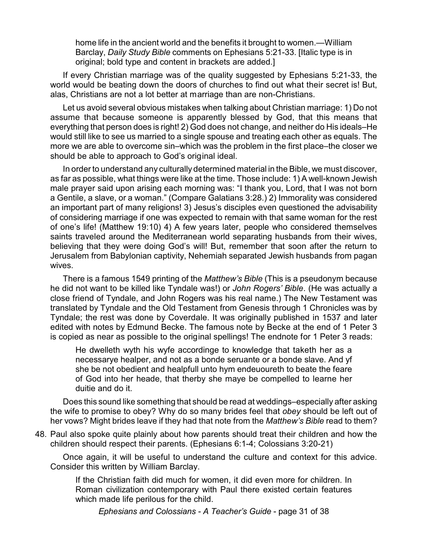home life in the ancient world and the benefits it brought to women.—William Barclay, *Daily Study Bible* comments on Ephesians 5:21-33. [Italic type is in original; bold type and content in brackets are added.]

If every Christian marriage was of the quality suggested by Ephesians 5:21-33, the world would be beating down the doors of churches to find out what their secret is! But, alas, Christians are not a lot better at marriage than are non-Christians.

Let us avoid several obvious mistakes when talking about Christian marriage: 1) Do not assume that because someone is apparently blessed by God, that this means that everything that person does is right! 2) God does not change, and neither do His ideals–He would still like to see us married to a single spouse and treating each other as equals. The more we are able to overcome sin–which was the problem in the first place–the closer we should be able to approach to God's original ideal.

In order to understand any culturally determined material in the Bible, we must discover, as far as possible, what things were like at the time. Those include: 1) A well-known Jewish male prayer said upon arising each morning was: "I thank you, Lord, that I was not born a Gentile, a slave, or a woman." (Compare Galatians 3:28.) 2) Immorality was considered an important part of many religions! 3) Jesus's disciples even questioned the advisability of considering marriage if one was expected to remain with that same woman for the rest of one's life! (Matthew 19:10) 4) A few years later, people who considered themselves saints traveled around the Mediterranean world separating husbands from their wives, believing that they were doing God's will! But, remember that soon after the return to Jerusalem from Babylonian captivity, Nehemiah separated Jewish husbands from pagan wives.

There is a famous 1549 printing of the *Matthew's Bible* (This is a pseudonym because he did not want to be killed like Tyndale was!) or *John Rogers' Bible*. (He was actually a close friend of Tyndale, and John Rogers was his real name.) The New Testament was translated by Tyndale and the Old Testament from Genesis through 1 Chronicles was by Tyndale; the rest was done by Coverdale. It was originally published in 1537 and later edited with notes by Edmund Becke. The famous note by Becke at the end of 1 Peter 3 is copied as near as possible to the original spellings! The endnote for 1 Peter 3 reads:

He dwelleth wyth his wyfe accordinge to knowledge that taketh her as a necessarye healper, and not as a bonde seruante or a bonde slave. And yf she be not obedient and healpfull unto hym endeuoureth to beate the feare of God into her heade, that therby she maye be compelled to learne her duitie and do it.

Does this sound like something that should be read at weddings–especially after asking the wife to promise to obey? Why do so many brides feel that *obey* should be left out of her vows? Might brides leave if they had that note from the *Matthew's Bible* read to them?

48. Paul also spoke quite plainly about how parents should treat their children and how the children should respect their parents. (Ephesians 6:1-4; Colossians 3:20-21)

Once again, it will be useful to understand the culture and context for this advice. Consider this written by William Barclay.

If the Christian faith did much for women, it did even more for children. In Roman civilization contemporary with Paul there existed certain features which made life perilous for the child.

*Ephesians and Colossians - A Teacher's Guide* - page 31 of 38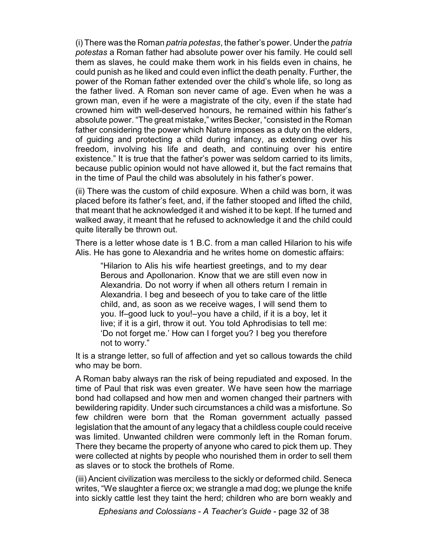(i) There was the Roman *patria potestas*, the father's power. Under the *patria potestas* a Roman father had absolute power over his family. He could sell them as slaves, he could make them work in his fields even in chains, he could punish as he liked and could even inflict the death penalty. Further, the power of the Roman father extended over the child's whole life, so long as the father lived. A Roman son never came of age. Even when he was a grown man, even if he were a magistrate of the city, even if the state had crowned him with well-deserved honours, he remained within his father's absolute power. "The great mistake," writes Becker, "consisted in the Roman father considering the power which Nature imposes as a duty on the elders, of guiding and protecting a child during infancy, as extending over his freedom, involving his life and death, and continuing over his entire existence." It is true that the father's power was seldom carried to its limits, because public opinion would not have allowed it, but the fact remains that in the time of Paul the child was absolutely in his father's power.

(ii) There was the custom of child exposure. When a child was born, it was placed before its father's feet, and, if the father stooped and lifted the child, that meant that he acknowledged it and wished it to be kept. If he turned and walked away, it meant that he refused to acknowledge it and the child could quite literally be thrown out.

There is a letter whose date is 1 B.C. from a man called Hilarion to his wife Alis. He has gone to Alexandria and he writes home on domestic affairs:

"Hilarion to Alis his wife heartiest greetings, and to my dear Berous and Apollonarion. Know that we are still even now in Alexandria. Do not worry if when all others return I remain in Alexandria. I beg and beseech of you to take care of the little child, and, as soon as we receive wages, I will send them to you. If–good luck to you!–you have a child, if it is a boy, let it live; if it is a girl, throw it out. You told Aphrodisias to tell me: 'Do not forget me.' How can I forget you? I beg you therefore not to worry."

It is a strange letter, so full of affection and yet so callous towards the child who may be born.

A Roman baby always ran the risk of being repudiated and exposed. In the time of Paul that risk was even greater. We have seen how the marriage bond had collapsed and how men and women changed their partners with bewildering rapidity. Under such circumstances a child was a misfortune. So few children were born that the Roman government actually passed legislation that the amount of any legacy that a childless couple could receive was limited. Unwanted children were commonly left in the Roman forum. There they became the property of anyone who cared to pick them up. They were collected at nights by people who nourished them in order to sell them as slaves or to stock the brothels of Rome.

(iii) Ancient civilization was merciless to the sickly or deformed child. Seneca writes, "We slaughter a fierce ox; we strangle a mad dog; we plunge the knife into sickly cattle lest they taint the herd; children who are born weakly and

*Ephesians and Colossians - A Teacher's Guide* - page 32 of 38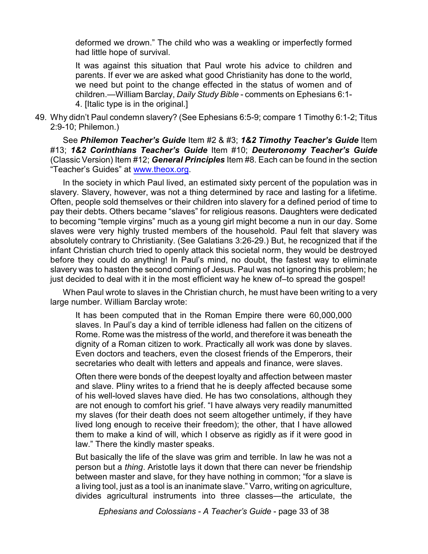deformed we drown." The child who was a weakling or imperfectly formed had little hope of survival.

It was against this situation that Paul wrote his advice to children and parents. If ever we are asked what good Christianity has done to the world, we need but point to the change effected in the status of women and of children.—William Barclay, *Daily Study Bible* - comments on Ephesians 6:1- 4. [Italic type is in the original.]

49. Why didn't Paul condemn slavery? (See Ephesians 6:5-9; compare 1 Timothy 6:1-2; Titus 2:9-10; Philemon.)

See *Philemon Teacher's Guide* Item #2 & #3; *1&2 Timothy Teacher's Guide* Item #13; *1&2 Corinthians Teacher's Guide* Item #10; *Deuteronomy Teacher's Guide* (Classic Version) Item #12; *General Principles* Item #8. Each can be found in the section "Teacher's Guides" at [www.theox.org](http://www.theox.org).

In the society in which Paul lived, an estimated sixty percent of the population was in slavery. Slavery, however, was not a thing determined by race and lasting for a lifetime. Often, people sold themselves or their children into slavery for a defined period of time to pay their debts. Others became "slaves" for religious reasons. Daughters were dedicated to becoming "temple virgins" much as a young girl might become a nun in our day. Some slaves were very highly trusted members of the household. Paul felt that slavery was absolutely contrary to Christianity. (See Galatians 3:26-29.) But, he recognized that if the infant Christian church tried to openly attack this societal norm, they would be destroyed before they could do anything! In Paul's mind, no doubt, the fastest way to eliminate slavery was to hasten the second coming of Jesus. Paul was not ignoring this problem; he just decided to deal with it in the most efficient way he knew of–to spread the gospel!

When Paul wrote to slaves in the Christian church, he must have been writing to a very large number. William Barclay wrote:

It has been computed that in the Roman Empire there were 60,000,000 slaves. In Paul's day a kind of terrible idleness had fallen on the citizens of Rome. Rome was the mistress of the world, and therefore it was beneath the dignity of a Roman citizen to work. Practically all work was done by slaves. Even doctors and teachers, even the closest friends of the Emperors, their secretaries who dealt with letters and appeals and finance, were slaves.

Often there were bonds of the deepest loyalty and affection between master and slave. Pliny writes to a friend that he is deeply affected because some of his well-loved slaves have died. He has two consolations, although they are not enough to comfort his grief. "I have always very readily manumitted my slaves (for their death does not seem altogether untimely, if they have lived long enough to receive their freedom); the other, that I have allowed them to make a kind of will, which I observe as rigidly as if it were good in law." There the kindly master speaks.

But basically the life of the slave was grim and terrible. In law he was not a person but a *thing*. Aristotle lays it down that there can never be friendship between master and slave, for they have nothing in common; "for a slave is a living tool, just as a tool is an inanimate slave." Varro, writing on agriculture, divides agricultural instruments into three classes—the articulate, the

*Ephesians and Colossians - A Teacher's Guide* - page 33 of 38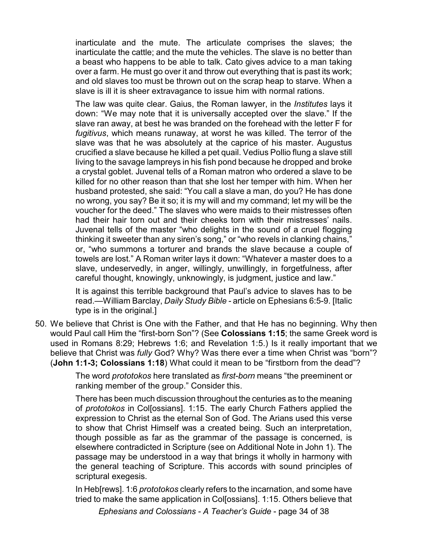inarticulate and the mute. The articulate comprises the slaves; the inarticulate the cattle; and the mute the vehicles. The slave is no better than a beast who happens to be able to talk. Cato gives advice to a man taking over a farm. He must go over it and throw out everything that is past its work; and old slaves too must be thrown out on the scrap heap to starve. When a slave is ill it is sheer extravagance to issue him with normal rations.

The law was quite clear. Gaius, the Roman lawyer, in the *Institutes* lays it down: "We may note that it is universally accepted over the slave." If the slave ran away, at best he was branded on the forehead with the letter F for *fugitivus*, which means runaway, at worst he was killed. The terror of the slave was that he was absolutely at the caprice of his master. Augustus crucified a slave because he killed a pet quail. Vedius Pollio flung a slave still living to the savage lampreys in his fish pond because he dropped and broke a crystal goblet. Juvenal tells of a Roman matron who ordered a slave to be killed for no other reason than that she lost her temper with him. When her husband protested, she said: "You call a slave a man, do you? He has done no wrong, you say? Be it so; it is my will and my command; let my will be the voucher for the deed." The slaves who were maids to their mistresses often had their hair torn out and their cheeks torn with their mistresses' nails. Juvenal tells of the master "who delights in the sound of a cruel flogging thinking it sweeter than any siren's song," or "who revels in clanking chains," or, "who summons a torturer and brands the slave because a couple of towels are lost." A Roman writer lays it down: "Whatever a master does to a slave, undeservedly, in anger, willingly, unwillingly, in forgetfulness, after careful thought, knowingly, unknowingly, is judgment, justice and law."

It is against this terrible background that Paul's advice to slaves has to be read.—William Barclay, *Daily Study Bible -* article on Ephesians 6:5-9. [Italic type is in the original.]

50. We believe that Christ is One with the Father, and that He has no beginning. Why then would Paul call Him the "first-born Son"? (See **Colossians 1:15**; the same Greek word is used in Romans 8:29; Hebrews 1:6; and Revelation 1:5.) Is it really important that we believe that Christ was *fully* God? Why? Was there ever a time when Christ was "born"? (**John 1:1-3; Colossians 1:18**) What could it mean to be "firstborn from the dead"?

> The word *prototokos* here translated as *first-born* means "the preeminent or ranking member of the group." Consider this.

> There has been much discussion throughout the centuries as to the meaning of *prototokos* in Col[ossians]. 1:15. The early Church Fathers applied the expression to Christ as the eternal Son of God. The Arians used this verse to show that Christ Himself was a created being. Such an interpretation, though possible as far as the grammar of the passage is concerned, is elsewhere contradicted in Scripture (see on Additional Note in John 1). The passage may be understood in a way that brings it wholly in harmony with the general teaching of Scripture. This accords with sound principles of scriptural exegesis.

> In Heb[rews]. 1:6 *prototokos* clearly refers to the incarnation, and some have tried to make the same application in Col[ossians]. 1:15. Others believe that

*Ephesians and Colossians - A Teacher's Guide* - page 34 of 38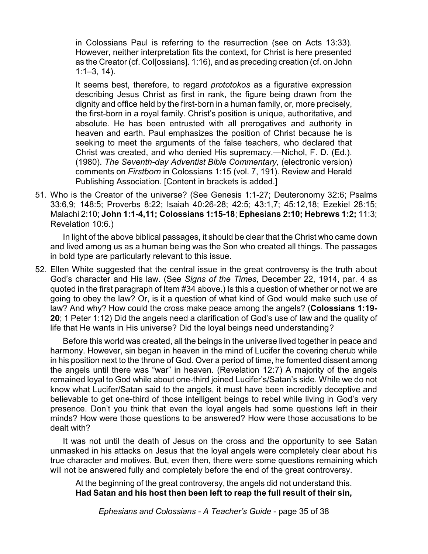in Colossians Paul is referring to the resurrection (see on Acts 13:33). However, neither interpretation fits the context, for Christ is here presented as the Creator (cf. Col[ossians]. 1:16), and as preceding creation (cf. on John  $1:1-3, 14$ ).

It seems best, therefore, to regard *prototokos* as a figurative expression describing Jesus Christ as first in rank, the figure being drawn from the dignity and office held by the first-born in a human family, or, more precisely, the first-born in a royal family. Christ's position is unique, authoritative, and absolute. He has been entrusted with all prerogatives and authority in heaven and earth. Paul emphasizes the position of Christ because he is seeking to meet the arguments of the false teachers, who declared that Christ was created, and who denied His supremacy.—Nichol, F. D. (Ed.). (1980). *The Seventh-day Adventist Bible Commentary,* (electronic version) comments on *Firstborn* in Colossians 1:15 (vol. 7, 191). Review and Herald Publishing Association. [Content in brackets is added.]

51. Who is the Creator of the universe? (See Genesis 1:1-27; Deuteronomy 32:6; Psalms 33:6,9; 148:5; Proverbs 8:22; Isaiah 40:26-28; 42:5; 43:1,7; 45:12,18; Ezekiel 28:15; Malachi 2:10; **John 1:1-4,11; Colossians 1:15-18**; **Ephesians 2:10; Hebrews 1:2;** 11:3; Revelation 10:6.)

In light of the above biblical passages, it should be clear that the Christ who came down and lived among us as a human being was the Son who created all things. The passages in bold type are particularly relevant to this issue.

52. Ellen White suggested that the central issue in the great controversy is the truth about God's character and His law. (See *Signs of the Times*, December 22, 1914, par. 4 as quoted in the first paragraph of Item #34 above.) Is this a question of whether or not we are going to obey the law? Or, is it a question of what kind of God would make such use of law? And why? How could the cross make peace among the angels? (**Colossians 1:19- 20**; 1 Peter 1:12) Did the angels need a clarification of God's use of law and the quality of life that He wants in His universe? Did the loyal beings need understanding?

Before this world was created, all the beings in the universe lived together in peace and harmony. However, sin began in heaven in the mind of Lucifer the covering cherub while in his position next to the throne of God. Over a period of time, he fomented dissent among the angels until there was "war" in heaven. (Revelation 12:7) A majority of the angels remained loyal to God while about one-third joined Lucifer's/Satan's side. While we do not know what Lucifer/Satan said to the angels, it must have been incredibly deceptive and believable to get one-third of those intelligent beings to rebel while living in God's very presence. Don't you think that even the loyal angels had some questions left in their minds? How were those questions to be answered? How were those accusations to be dealt with?

It was not until the death of Jesus on the cross and the opportunity to see Satan unmasked in his attacks on Jesus that the loyal angels were completely clear about his true character and motives. But, even then, there were some questions remaining which will not be answered fully and completely before the end of the great controversy.

At the beginning of the great controversy, the angels did not understand this. **Had Satan and his host then been left to reap the full result of their sin,**

*Ephesians and Colossians - A Teacher's Guide* - page 35 of 38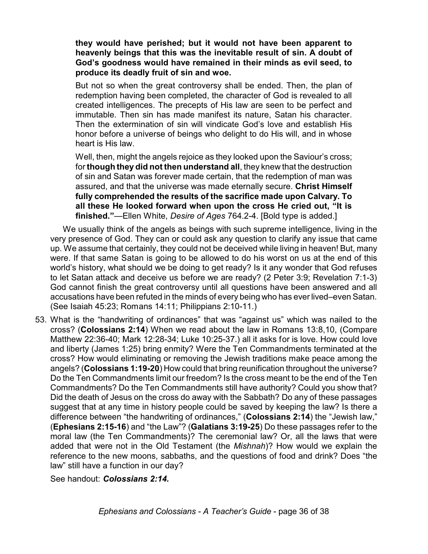**they would have perished; but it would not have been apparent to heavenly beings that this was the inevitable result of sin. A doubt of God's goodness would have remained in their minds as evil seed, to produce its deadly fruit of sin and woe.**

But not so when the great controversy shall be ended. Then, the plan of redemption having been completed, the character of God is revealed to all created intelligences. The precepts of His law are seen to be perfect and immutable. Then sin has made manifest its nature, Satan his character. Then the extermination of sin will vindicate God's love and establish His honor before a universe of beings who delight to do His will, and in whose heart is His law.

Well, then, might the angels rejoice as they looked upon the Saviour's cross; for **though they did not then understand all**, they knew that the destruction of sin and Satan was forever made certain, that the redemption of man was assured, and that the universe was made eternally secure. **Christ Himself fully comprehended the results of the sacrifice made upon Calvary. To all these He looked forward when upon the cross He cried out, "It is finished."**—Ellen White, *Desire of Ages* 764.2-4. [Bold type is added.]

We usually think of the angels as beings with such supreme intelligence, living in the very presence of God. They can or could ask any question to clarify any issue that came up. We assume that certainly, they could not be deceived while living in heaven! But, many were. If that same Satan is going to be allowed to do his worst on us at the end of this world's history, what should we be doing to get ready? Is it any wonder that God refuses to let Satan attack and deceive us before we are ready? (2 Peter 3:9; Revelation 7:1-3) God cannot finish the great controversy until all questions have been answered and all accusations have been refuted in the minds of every being who has ever lived–even Satan. (See Isaiah 45:23; Romans 14:11; Philippians 2:10-11.)

53. What is the "handwriting of ordinances" that was "against us" which was nailed to the cross? (**Colossians 2:14**) When we read about the law in Romans 13:8,10, (Compare Matthew 22:36-40; Mark 12:28-34; Luke 10:25-37.) all it asks for is love. How could love and liberty (James 1:25) bring enmity? Were the Ten Commandments terminated at the cross? How would eliminating or removing the Jewish traditions make peace among the angels? (**Colossians 1:19-20**) How could that bring reunification throughout the universe? Do the Ten Commandments limit our freedom? Is the cross meant to be the end of the Ten Commandments? Do the Ten Commandments still have authority? Could you show that? Did the death of Jesus on the cross do away with the Sabbath? Do any of these passages suggest that at any time in history people could be saved by keeping the law? Is there a difference between "the handwriting of ordinances," (**Colossians 2:14**) the "Jewish law," (**Ephesians 2:15-16**) and "the Law"? (**Galatians 3:19-25**) Do these passages refer to the moral law (the Ten Commandments)? The ceremonial law? Or, all the laws that were added that were not in the Old Testament (the *Mishnah*)? How would we explain the reference to the new moons, sabbaths, and the questions of food and drink? Does "the law" still have a function in our day?

See handout: *Colossians 2:14.*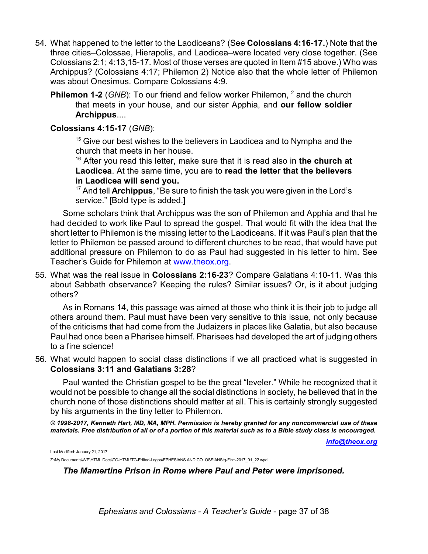- 54. What happened to the letter to the Laodiceans? (See **Colossians 4:16-17.**) Note that the three cities–Colossae, Hierapolis, and Laodicea–were located very close together. (See Colossians 2:1; 4:13,15-17. Most of those verses are quoted in Item #15 above.) Who was Archippus? (Colossians 4:17; Philemon 2) Notice also that the whole letter of Philemon was about Onesimus. Compare Colossians 4:9.
	- **Philemon 1-2** (GNB): To our friend and fellow worker Philemon, <sup>2</sup> and the church that meets in your house, and our sister Apphia, and **our fellow soldier Archippus**....

## **Colossians 4:15-17** (*GNB*):

 $15$  Give our best wishes to the believers in Laodicea and to Nympha and the church that meets in her house.

<sup>16</sup> After you read this letter, make sure that it is read also in **the church at Laodicea**. At the same time, you are to **read the letter that the believers in Laodicea will send you.**

<sup>17</sup> And tell **Archippus**, "Be sure to finish the task you were given in the Lord's service." [Bold type is added.]

Some scholars think that Archippus was the son of Philemon and Apphia and that he had decided to work like Paul to spread the gospel. That would fit with the idea that the short letter to Philemon is the missing letter to the Laodiceans. If it was Paul's plan that the letter to Philemon be passed around to different churches to be read, that would have put additional pressure on Philemon to do as Paul had suggested in his letter to him. See Teacher's Guide for Philemon at [www.theox.org](http://www.theox.org).

55. What was the real issue in **Colossians 2:16-23**? Compare Galatians 4:10-11. Was this about Sabbath observance? Keeping the rules? Similar issues? Or, is it about judging others?

As in Romans 14, this passage was aimed at those who think it is their job to judge all others around them. Paul must have been very sensitive to this issue, not only because of the criticisms that had come from the Judaizers in places like Galatia, but also because Paul had once been a Pharisee himself. Pharisees had developed the art of judging others to a fine science!

56. What would happen to social class distinctions if we all practiced what is suggested in **Colossians 3:11 and Galatians 3:28**?

Paul wanted the Christian gospel to be the great "leveler." While he recognized that it would not be possible to change all the social distinctions in society, he believed that in the church none of those distinctions should matter at all. This is certainly strongly suggested by his arguments in the tiny letter to Philemon.

*© 1998-2017, Kenneth Hart, MD, MA, MPH. Permission is hereby granted for any noncommercial use of these materials. Free distribution of all or of a portion of this material such as to a Bible study class is encouraged.*

*[info@theox.org](mailto:kwhart@sachs.llu.edu)*

Last Modified: January 21, 2017

Z:\My Documents\WP\HTML Docs\TG-HTML\TG-Edited-Logos\EPHESIANS AND COLOSSIANStg-Fin+-2017\_01\_22.wpd

*The Mamertine Prison in Rome where Paul and Peter were imprisoned.*